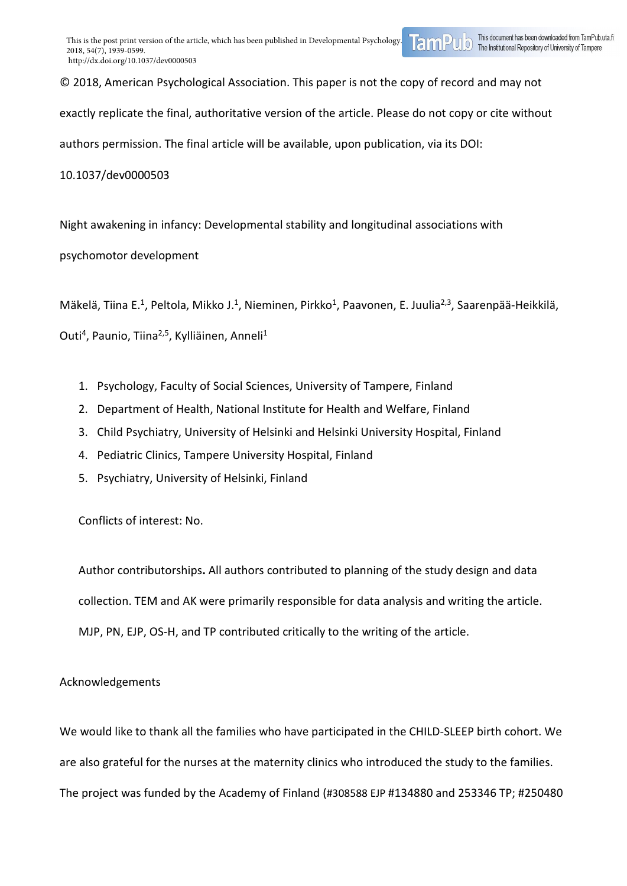© 2018, American Psychological Association. This paper is not the copy of record and may not

exactly replicate the final, authoritative version of the article. Please do not copy or cite without

authors permission. The final article will be available, upon publication, via its DOI:

10.1037/dev0000503

Night awakening in infancy: Developmental stability and longitudinal associations with

psychomotor development

Mäkelä, Tiina E.<sup>1</sup>, Peltola, Mikko J.<sup>1</sup>, Nieminen, Pirkko<sup>1</sup>, Paavonen, E. Juulia<sup>2,3</sup>, Saarenpää-Heikkilä,

Outi<sup>4</sup>, Paunio, Tiina<sup>2,5</sup>, Kylliäinen, Anneli<sup>1</sup>

- 1. Psychology, Faculty of Social Sciences, University of Tampere, Finland
- 2. Department of Health, National Institute for Health and Welfare, Finland
- 3. Child Psychiatry, University of Helsinki and Helsinki University Hospital, Finland
- 4. Pediatric Clinics, Tampere University Hospital, Finland
- 5. Psychiatry, University of Helsinki, Finland

Conflicts of interest: No.

Author contributorships**.** All authors contributed to planning of the study design and data collection. TEM and AK were primarily responsible for data analysis and writing the article. MJP, PN, EJP, OS-H, and TP contributed critically to the writing of the article.

## Acknowledgements

We would like to thank all the families who have participated in the CHILD-SLEEP birth cohort. We are also grateful for the nurses at the maternity clinics who introduced the study to the families. The project was funded by the Academy of Finland (#308588 EJP #134880 and 253346 TP; #250480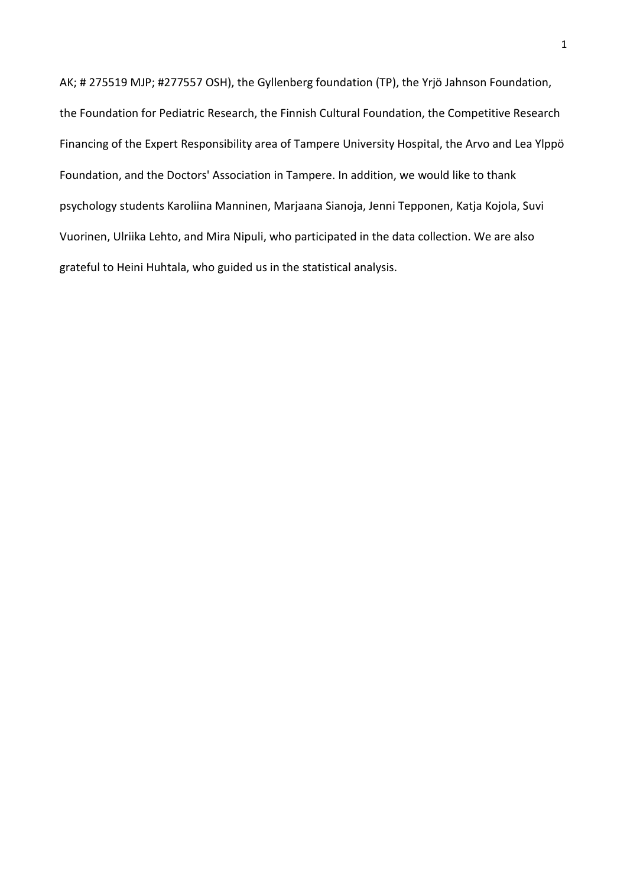AK; # 275519 MJP; #277557 OSH), the Gyllenberg foundation (TP), the Yrjö Jahnson Foundation, the Foundation for Pediatric Research, the Finnish Cultural Foundation, the Competitive Research Financing of the Expert Responsibility area of Tampere University Hospital, the Arvo and Lea Ylppö Foundation, and the Doctors' Association in Tampere. In addition, we would like to thank psychology students Karoliina Manninen, Marjaana Sianoja, Jenni Tepponen, Katja Kojola, Suvi Vuorinen, Ulriika Lehto, and Mira Nipuli, who participated in the data collection. We are also grateful to Heini Huhtala, who guided us in the statistical analysis.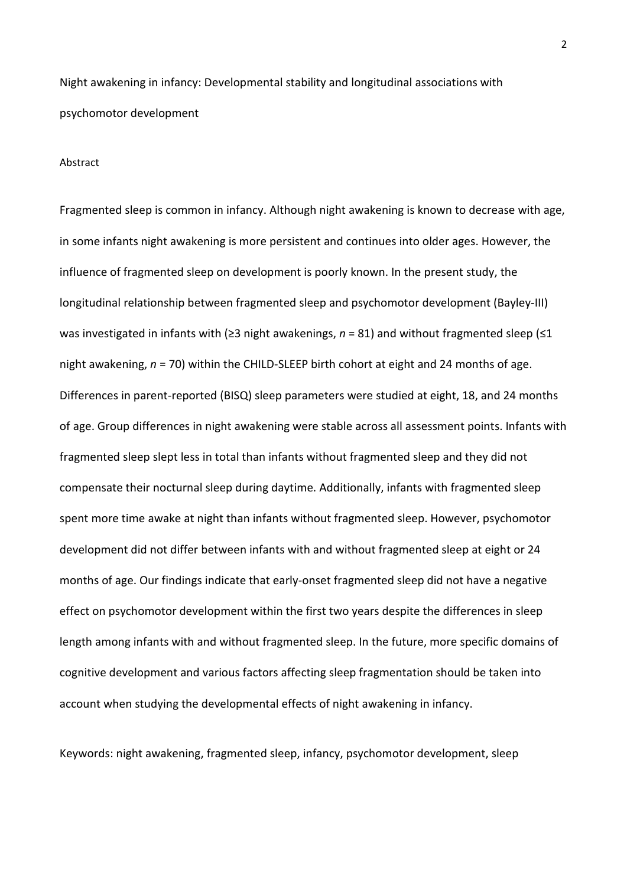Night awakening in infancy: Developmental stability and longitudinal associations with psychomotor development

#### Abstract

Fragmented sleep is common in infancy. Although night awakening is known to decrease with age, in some infants night awakening is more persistent and continues into older ages. However, the influence of fragmented sleep on development is poorly known. In the present study, the longitudinal relationship between fragmented sleep and psychomotor development (Bayley-III) was investigated in infants with (≥3 night awakenings, *n* = 81) and without fragmented sleep (≤1 night awakening, *n* = 70) within the CHILD-SLEEP birth cohort at eight and 24 months of age. Differences in parent-reported (BISQ) sleep parameters were studied at eight, 18, and 24 months of age. Group differences in night awakening were stable across all assessment points. Infants with fragmented sleep slept less in total than infants without fragmented sleep and they did not compensate their nocturnal sleep during daytime. Additionally, infants with fragmented sleep spent more time awake at night than infants without fragmented sleep. However, psychomotor development did not differ between infants with and without fragmented sleep at eight or 24 months of age. Our findings indicate that early-onset fragmented sleep did not have a negative effect on psychomotor development within the first two years despite the differences in sleep length among infants with and without fragmented sleep. In the future, more specific domains of cognitive development and various factors affecting sleep fragmentation should be taken into account when studying the developmental effects of night awakening in infancy.

Keywords: night awakening, fragmented sleep, infancy, psychomotor development, sleep

2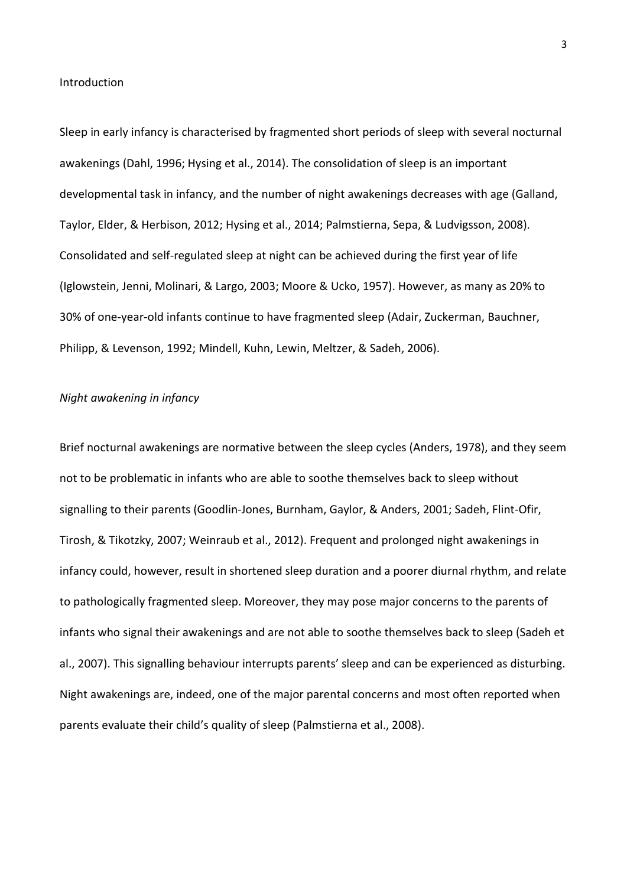#### Introduction

Sleep in early infancy is characterised by fragmented short periods of sleep with several nocturnal awakenings (Dahl, 1996; Hysing et al., 2014). The consolidation of sleep is an important developmental task in infancy, and the number of night awakenings decreases with age (Galland, Taylor, Elder, & Herbison, 2012; Hysing et al., 2014; Palmstierna, Sepa, & Ludvigsson, 2008). Consolidated and self-regulated sleep at night can be achieved during the first year of life (Iglowstein, Jenni, Molinari, & Largo, 2003; Moore & Ucko, 1957). However, as many as 20% to 30% of one-year-old infants continue to have fragmented sleep (Adair, Zuckerman, Bauchner, Philipp, & Levenson, 1992; Mindell, Kuhn, Lewin, Meltzer, & Sadeh, 2006).

### *Night awakening in infancy*

Brief nocturnal awakenings are normative between the sleep cycles (Anders, 1978), and they seem not to be problematic in infants who are able to soothe themselves back to sleep without signalling to their parents (Goodlin-Jones, Burnham, Gaylor, & Anders, 2001; Sadeh, Flint-Ofir, Tirosh, & Tikotzky, 2007; Weinraub et al., 2012). Frequent and prolonged night awakenings in infancy could, however, result in shortened sleep duration and a poorer diurnal rhythm, and relate to pathologically fragmented sleep. Moreover, they may pose major concerns to the parents of infants who signal their awakenings and are not able to soothe themselves back to sleep (Sadeh et al., 2007). This signalling behaviour interrupts parents' sleep and can be experienced as disturbing. Night awakenings are, indeed, one of the major parental concerns and most often reported when parents evaluate their child's quality of sleep (Palmstierna et al., 2008).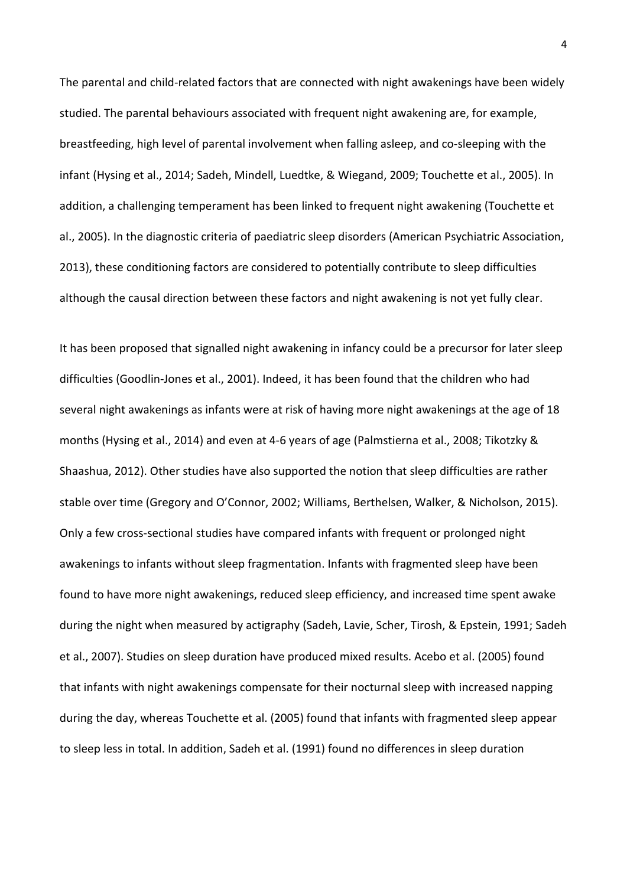The parental and child-related factors that are connected with night awakenings have been widely studied. The parental behaviours associated with frequent night awakening are, for example, breastfeeding, high level of parental involvement when falling asleep, and co-sleeping with the infant (Hysing et al., 2014; Sadeh, Mindell, Luedtke, & Wiegand, 2009; Touchette et al., 2005). In addition, a challenging temperament has been linked to frequent night awakening (Touchette et al., 2005). In the diagnostic criteria of paediatric sleep disorders (American Psychiatric Association, 2013), these conditioning factors are considered to potentially contribute to sleep difficulties although the causal direction between these factors and night awakening is not yet fully clear.

It has been proposed that signalled night awakening in infancy could be a precursor for later sleep difficulties (Goodlin-Jones et al., 2001). Indeed, it has been found that the children who had several night awakenings as infants were at risk of having more night awakenings at the age of 18 months (Hysing et al., 2014) and even at 4-6 years of age (Palmstierna et al., 2008; Tikotzky & Shaashua, 2012). Other studies have also supported the notion that sleep difficulties are rather stable over time (Gregory and O'Connor, 2002; Williams, Berthelsen, Walker, & Nicholson, 2015). Only a few cross-sectional studies have compared infants with frequent or prolonged night awakenings to infants without sleep fragmentation. Infants with fragmented sleep have been found to have more night awakenings, reduced sleep efficiency, and increased time spent awake during the night when measured by actigraphy (Sadeh, Lavie, Scher, Tirosh, & Epstein, 1991; Sadeh et al., 2007). Studies on sleep duration have produced mixed results. Acebo et al. (2005) found that infants with night awakenings compensate for their nocturnal sleep with increased napping during the day, whereas Touchette et al. (2005) found that infants with fragmented sleep appear to sleep less in total. In addition, Sadeh et al. (1991) found no differences in sleep duration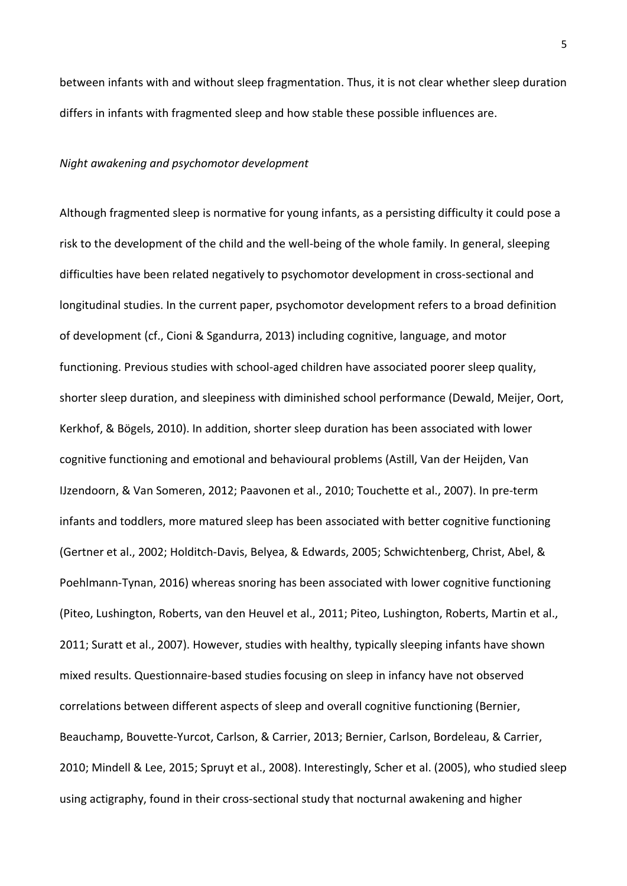between infants with and without sleep fragmentation. Thus, it is not clear whether sleep duration differs in infants with fragmented sleep and how stable these possible influences are.

#### *Night awakening and psychomotor development*

Although fragmented sleep is normative for young infants, as a persisting difficulty it could pose a risk to the development of the child and the well-being of the whole family. In general, sleeping difficulties have been related negatively to psychomotor development in cross-sectional and longitudinal studies. In the current paper, psychomotor development refers to a broad definition of development (cf., Cioni & Sgandurra, 2013) including cognitive, language, and motor functioning. Previous studies with school-aged children have associated poorer sleep quality, shorter sleep duration, and sleepiness with diminished school performance (Dewald, Meijer, Oort, Kerkhof, & Bögels, 2010). In addition, shorter sleep duration has been associated with lower cognitive functioning and emotional and behavioural problems (Astill, Van der Heijden, Van IJzendoorn, & Van Someren, 2012; Paavonen et al., 2010; Touchette et al., 2007). In pre-term infants and toddlers, more matured sleep has been associated with better cognitive functioning (Gertner et al., 2002; Holditch-Davis, Belyea, & Edwards, 2005; Schwichtenberg, Christ, Abel, & Poehlmann-Tynan, 2016) whereas snoring has been associated with lower cognitive functioning (Piteo, Lushington, Roberts, van den Heuvel et al., 2011; Piteo, Lushington, Roberts, Martin et al., 2011; Suratt et al., 2007). However, studies with healthy, typically sleeping infants have shown mixed results. Questionnaire-based studies focusing on sleep in infancy have not observed correlations between different aspects of sleep and overall cognitive functioning (Bernier, Beauchamp, Bouvette-Yurcot, Carlson, & Carrier, 2013; Bernier, Carlson, Bordeleau, & Carrier, 2010; Mindell & Lee, 2015; Spruyt et al., 2008). Interestingly, Scher et al. (2005), who studied sleep using actigraphy, found in their cross-sectional study that nocturnal awakening and higher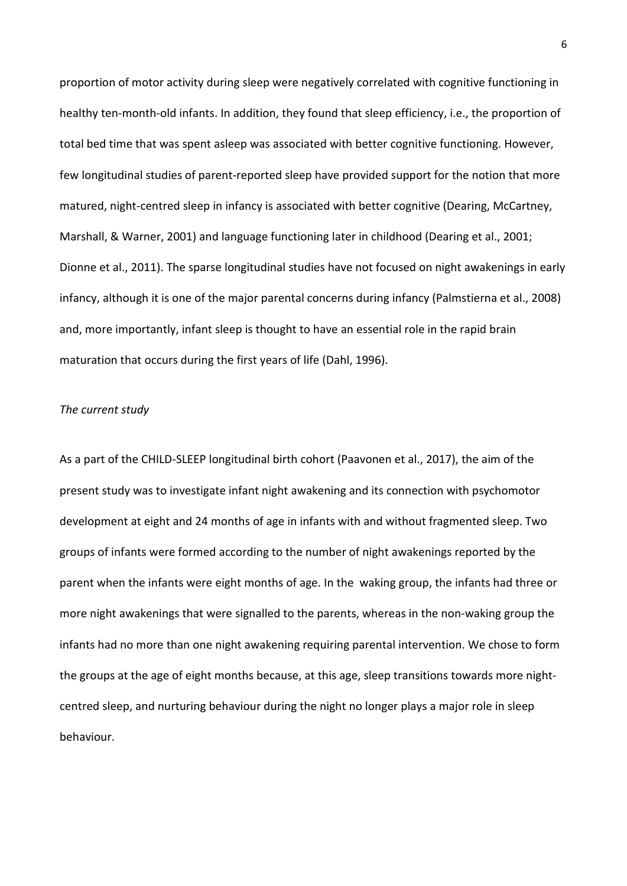proportion of motor activity during sleep were negatively correlated with cognitive functioning in healthy ten-month-old infants. In addition, they found that sleep efficiency, i.e., the proportion of total bed time that was spent asleep was associated with better cognitive functioning. However, few longitudinal studies of parent-reported sleep have provided support for the notion that more matured, night-centred sleep in infancy is associated with better cognitive (Dearing, McCartney, Marshall, & Warner, 2001) and language functioning later in childhood (Dearing et al., 2001; Dionne et al., 2011). The sparse longitudinal studies have not focused on night awakenings in early infancy, although it is one of the major parental concerns during infancy (Palmstierna et al., 2008) and, more importantly, infant sleep is thought to have an essential role in the rapid brain maturation that occurs during the first years of life (Dahl, 1996).

## *The current study*

As a part of the CHILD-SLEEP longitudinal birth cohort (Paavonen et al., 2017), the aim of the present study was to investigate infant night awakening and its connection with psychomotor development at eight and 24 months of age in infants with and without fragmented sleep. Two groups of infants were formed according to the number of night awakenings reported by the parent when the infants were eight months of age. In the waking group, the infants had three or more night awakenings that were signalled to the parents, whereas in the non-waking group the infants had no more than one night awakening requiring parental intervention. We chose to form the groups at the age of eight months because, at this age, sleep transitions towards more nightcentred sleep, and nurturing behaviour during the night no longer plays a major role in sleep behaviour.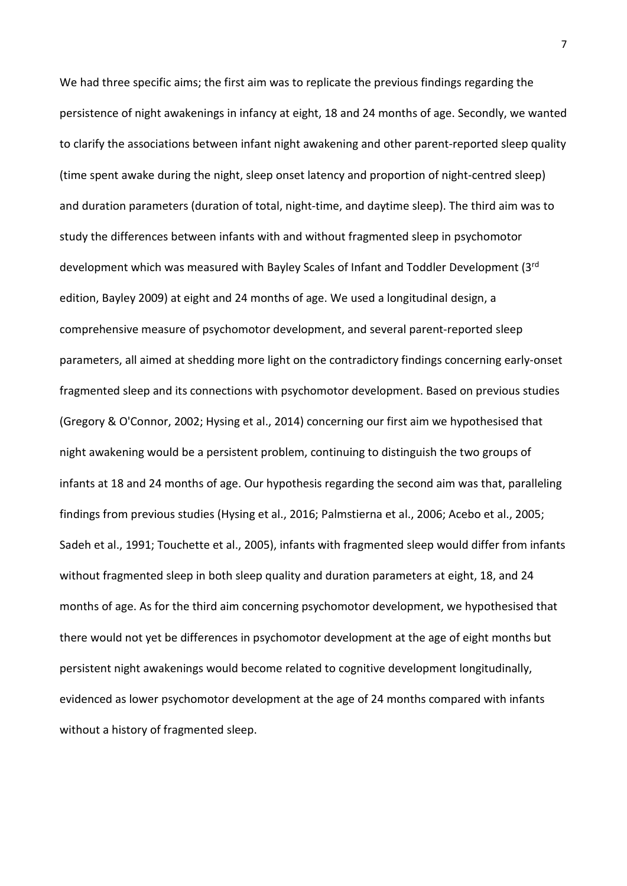We had three specific aims; the first aim was to replicate the previous findings regarding the persistence of night awakenings in infancy at eight, 18 and 24 months of age. Secondly, we wanted to clarify the associations between infant night awakening and other parent-reported sleep quality (time spent awake during the night, sleep onset latency and proportion of night-centred sleep) and duration parameters (duration of total, night-time, and daytime sleep). The third aim was to study the differences between infants with and without fragmented sleep in psychomotor development which was measured with Bayley Scales of Infant and Toddler Development (3rd edition, Bayley 2009) at eight and 24 months of age. We used a longitudinal design, a comprehensive measure of psychomotor development, and several parent-reported sleep parameters, all aimed at shedding more light on the contradictory findings concerning early-onset fragmented sleep and its connections with psychomotor development. Based on previous studies (Gregory & O'Connor, 2002; Hysing et al., 2014) concerning our first aim we hypothesised that night awakening would be a persistent problem, continuing to distinguish the two groups of infants at 18 and 24 months of age. Our hypothesis regarding the second aim was that, paralleling findings from previous studies (Hysing et al., 2016; Palmstierna et al., 2006; Acebo et al., 2005; Sadeh et al., 1991; Touchette et al., 2005), infants with fragmented sleep would differ from infants without fragmented sleep in both sleep quality and duration parameters at eight, 18, and 24 months of age. As for the third aim concerning psychomotor development, we hypothesised that there would not yet be differences in psychomotor development at the age of eight months but persistent night awakenings would become related to cognitive development longitudinally, evidenced as lower psychomotor development at the age of 24 months compared with infants without a history of fragmented sleep.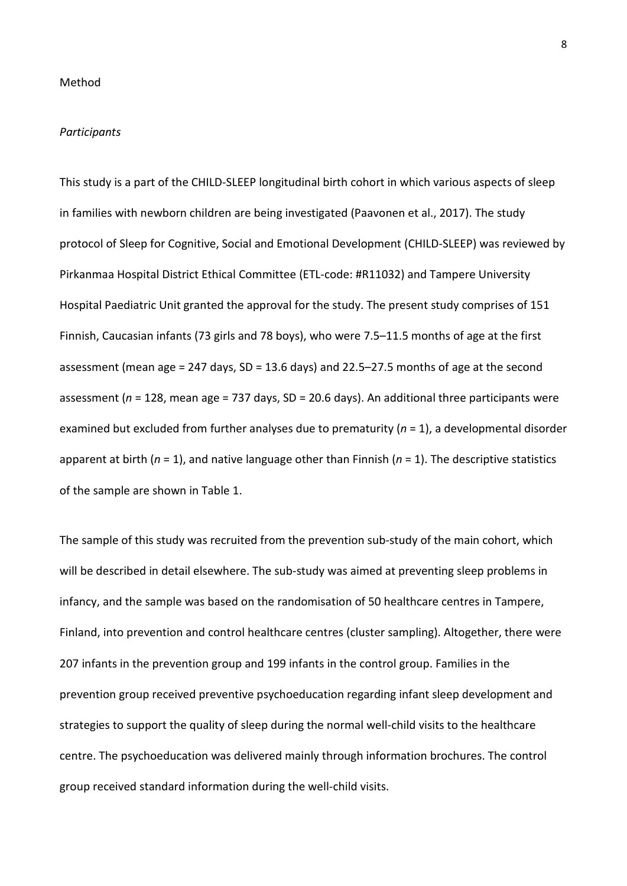#### *Participants*

This study is a part of the CHILD-SLEEP longitudinal birth cohort in which various aspects of sleep in families with newborn children are being investigated (Paavonen et al., 2017). The study protocol of Sleep for Cognitive, Social and Emotional Development (CHILD-SLEEP) was reviewed by Pirkanmaa Hospital District Ethical Committee (ETL-code: #R11032) and Tampere University Hospital Paediatric Unit granted the approval for the study. The present study comprises of 151 Finnish, Caucasian infants (73 girls and 78 boys), who were 7.5–11.5 months of age at the first assessment (mean age = 247 days,  $SD = 13.6$  days) and 22.5–27.5 months of age at the second assessment (*n* = 128, mean age = 737 days, SD = 20.6 days). An additional three participants were examined but excluded from further analyses due to prematurity (*n* = 1), a developmental disorder apparent at birth (*n* = 1), and native language other than Finnish (*n* = 1). The descriptive statistics of the sample are shown in Table 1.

The sample of this study was recruited from the prevention sub-study of the main cohort, which will be described in detail elsewhere. The sub-study was aimed at preventing sleep problems in infancy, and the sample was based on the randomisation of 50 healthcare centres in Tampere, Finland, into prevention and control healthcare centres (cluster sampling). Altogether, there were 207 infants in the prevention group and 199 infants in the control group. Families in the prevention group received preventive psychoeducation regarding infant sleep development and strategies to support the quality of sleep during the normal well-child visits to the healthcare centre. The psychoeducation was delivered mainly through information brochures. The control group received standard information during the well-child visits.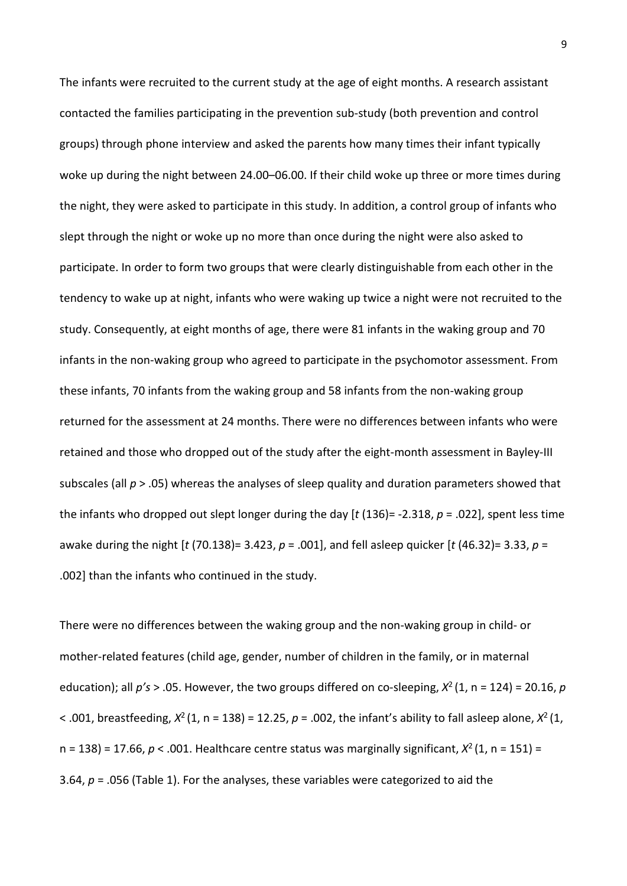The infants were recruited to the current study at the age of eight months. A research assistant contacted the families participating in the prevention sub-study (both prevention and control groups) through phone interview and asked the parents how many times their infant typically woke up during the night between 24.00–06.00. If their child woke up three or more times during the night, they were asked to participate in this study. In addition, a control group of infants who slept through the night or woke up no more than once during the night were also asked to participate. In order to form two groups that were clearly distinguishable from each other in the tendency to wake up at night, infants who were waking up twice a night were not recruited to the study. Consequently, at eight months of age, there were 81 infants in the waking group and 70 infants in the non-waking group who agreed to participate in the psychomotor assessment. From these infants, 70 infants from the waking group and 58 infants from the non-waking group returned for the assessment at 24 months. There were no differences between infants who were retained and those who dropped out of the study after the eight-month assessment in Bayley-III subscales (all *p* > .05) whereas the analyses of sleep quality and duration parameters showed that the infants who dropped out slept longer during the day [*t* (136)= -2.318, *p* = .022], spent less time awake during the night [*t* (70.138)= 3.423, *p* = .001], and fell asleep quicker [*t* (46.32)= 3.33, *p* = .002] than the infants who continued in the study.

There were no differences between the waking group and the non-waking group in child- or mother-related features (child age, gender, number of children in the family, or in maternal education); all *p's* > .05. However, the two groups differed on co-sleeping, *X*2 (1, n = 124) = 20.16, *p*  $<$  .001, breastfeeding,  $X^2$  (1, n = 138) = 12.25,  $p = 0.002$ , the infant's ability to fall asleep alone,  $X^2$  (1, n = 138) = 17.66,  $p < .001$ . Healthcare centre status was marginally significant,  $X^2(1, n = 151)$  = 3.64, *p* = .056 (Table 1). For the analyses, these variables were categorized to aid the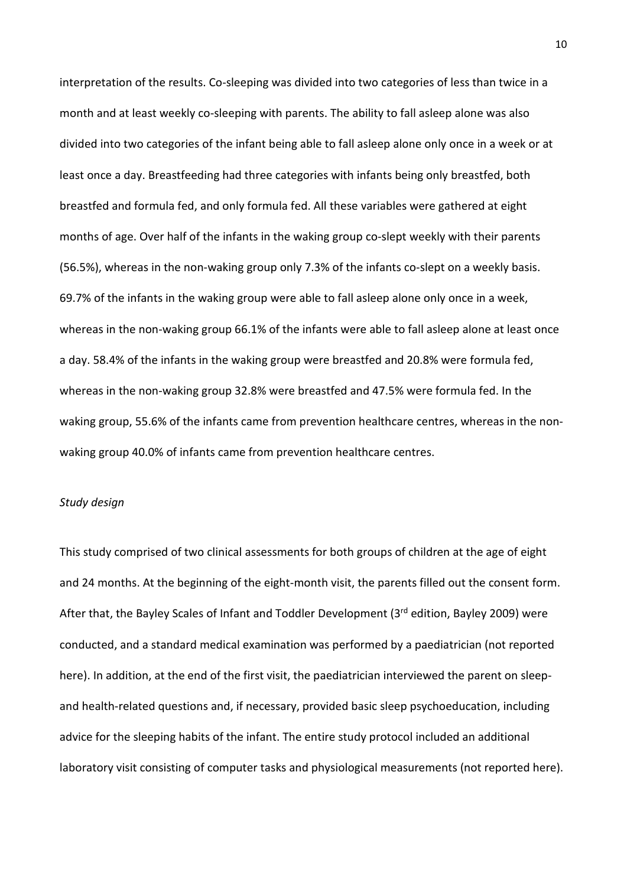interpretation of the results. Co-sleeping was divided into two categories of less than twice in a month and at least weekly co-sleeping with parents. The ability to fall asleep alone was also divided into two categories of the infant being able to fall asleep alone only once in a week or at least once a day. Breastfeeding had three categories with infants being only breastfed, both breastfed and formula fed, and only formula fed. All these variables were gathered at eight months of age. Over half of the infants in the waking group co-slept weekly with their parents (56.5%), whereas in the non-waking group only 7.3% of the infants co-slept on a weekly basis. 69.7% of the infants in the waking group were able to fall asleep alone only once in a week, whereas in the non-waking group 66.1% of the infants were able to fall asleep alone at least once a day. 58.4% of the infants in the waking group were breastfed and 20.8% were formula fed, whereas in the non-waking group 32.8% were breastfed and 47.5% were formula fed. In the waking group, 55.6% of the infants came from prevention healthcare centres, whereas in the nonwaking group 40.0% of infants came from prevention healthcare centres.

### *Study design*

This study comprised of two clinical assessments for both groups of children at the age of eight and 24 months. At the beginning of the eight-month visit, the parents filled out the consent form. After that, the Bayley Scales of Infant and Toddler Development (3rd edition, Bayley 2009) were conducted, and a standard medical examination was performed by a paediatrician (not reported here). In addition, at the end of the first visit, the paediatrician interviewed the parent on sleepand health-related questions and, if necessary, provided basic sleep psychoeducation, including advice for the sleeping habits of the infant. The entire study protocol included an additional laboratory visit consisting of computer tasks and physiological measurements (not reported here).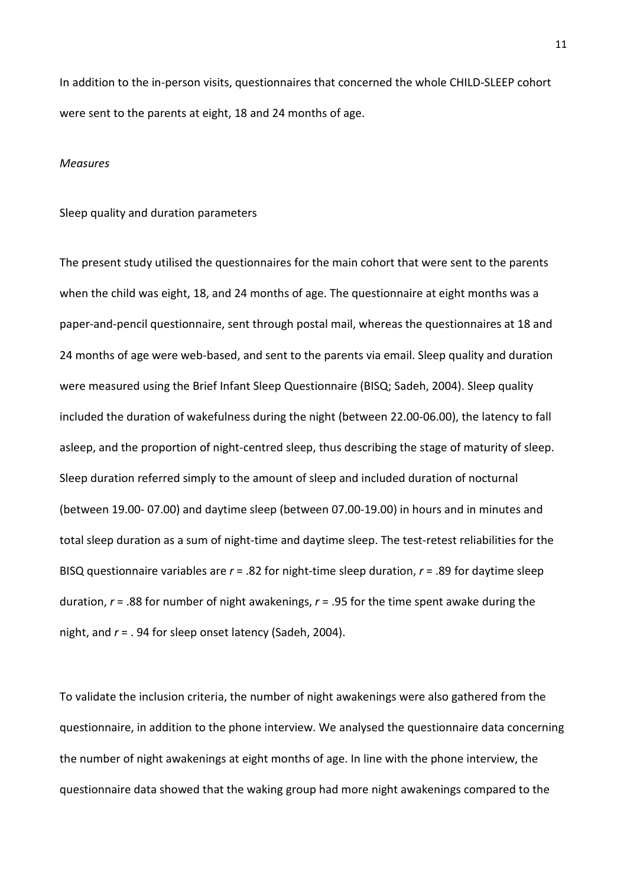In addition to the in-person visits, questionnaires that concerned the whole CHILD-SLEEP cohort were sent to the parents at eight, 18 and 24 months of age.

#### *Measures*

#### Sleep quality and duration parameters

The present study utilised the questionnaires for the main cohort that were sent to the parents when the child was eight, 18, and 24 months of age. The questionnaire at eight months was a paper-and-pencil questionnaire, sent through postal mail, whereas the questionnaires at 18 and 24 months of age were web-based, and sent to the parents via email. Sleep quality and duration were measured using the Brief Infant Sleep Questionnaire (BISQ; Sadeh, 2004). Sleep quality included the duration of wakefulness during the night (between 22.00-06.00), the latency to fall asleep, and the proportion of night-centred sleep, thus describing the stage of maturity of sleep. Sleep duration referred simply to the amount of sleep and included duration of nocturnal (between 19.00- 07.00) and daytime sleep (between 07.00-19.00) in hours and in minutes and total sleep duration as a sum of night-time and daytime sleep. The test-retest reliabilities for the BISQ questionnaire variables are *r* = .82 for night-time sleep duration, *r* = .89 for daytime sleep duration, *r* = .88 for number of night awakenings, *r* = .95 for the time spent awake during the night, and *r* = . 94 for sleep onset latency (Sadeh, 2004).

To validate the inclusion criteria, the number of night awakenings were also gathered from the questionnaire, in addition to the phone interview. We analysed the questionnaire data concerning the number of night awakenings at eight months of age. In line with the phone interview, the questionnaire data showed that the waking group had more night awakenings compared to the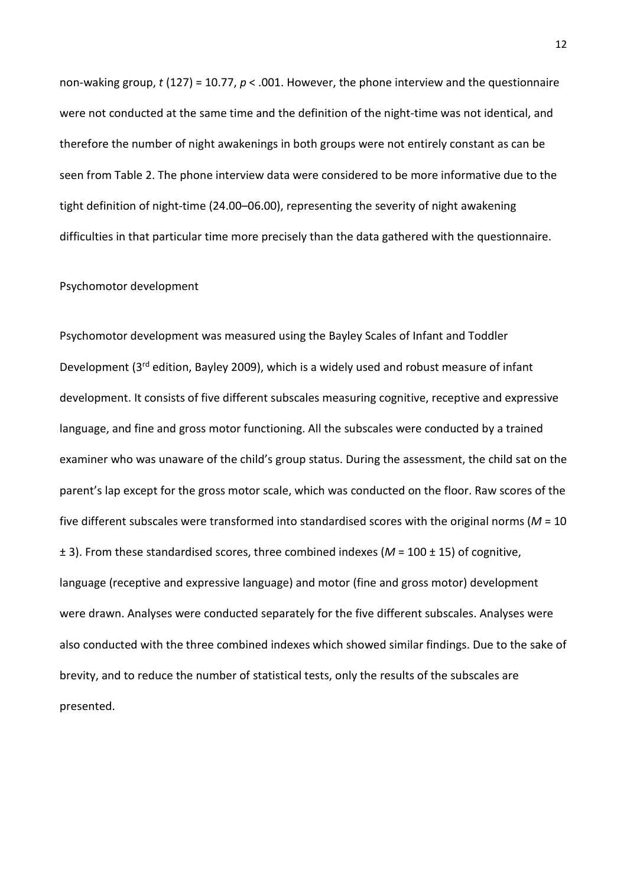non-waking group, *t* (127) = 10.77, *p* < .001. However, the phone interview and the questionnaire were not conducted at the same time and the definition of the night-time was not identical, and therefore the number of night awakenings in both groups were not entirely constant as can be seen from Table 2. The phone interview data were considered to be more informative due to the tight definition of night-time (24.00–06.00), representing the severity of night awakening difficulties in that particular time more precisely than the data gathered with the questionnaire.

#### Psychomotor development

Psychomotor development was measured using the Bayley Scales of Infant and Toddler Development (3<sup>rd</sup> edition, Bayley 2009), which is a widely used and robust measure of infant development. It consists of five different subscales measuring cognitive, receptive and expressive language, and fine and gross motor functioning. All the subscales were conducted by a trained examiner who was unaware of the child's group status. During the assessment, the child sat on the parent's lap except for the gross motor scale, which was conducted on the floor. Raw scores of the five different subscales were transformed into standardised scores with the original norms (*M* = 10 ± 3). From these standardised scores, three combined indexes (*M* = 100 ± 15) of cognitive, language (receptive and expressive language) and motor (fine and gross motor) development were drawn. Analyses were conducted separately for the five different subscales. Analyses were also conducted with the three combined indexes which showed similar findings. Due to the sake of brevity, and to reduce the number of statistical tests, only the results of the subscales are presented.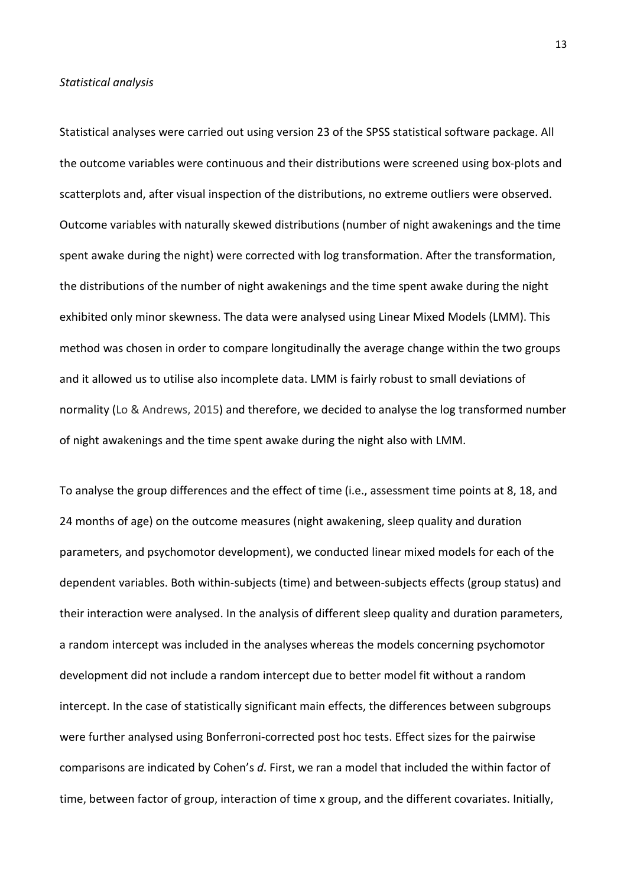#### *Statistical analysis*

Statistical analyses were carried out using version 23 of the SPSS statistical software package. All the outcome variables were continuous and their distributions were screened using box-plots and scatterplots and, after visual inspection of the distributions, no extreme outliers were observed. Outcome variables with naturally skewed distributions (number of night awakenings and the time spent awake during the night) were corrected with log transformation. After the transformation, the distributions of the number of night awakenings and the time spent awake during the night exhibited only minor skewness. The data were analysed using Linear Mixed Models (LMM). This method was chosen in order to compare longitudinally the average change within the two groups and it allowed us to utilise also incomplete data. LMM is fairly robust to small deviations of normality (Lo & Andrews, 2015) and therefore, we decided to analyse the log transformed number of night awakenings and the time spent awake during the night also with LMM.

To analyse the group differences and the effect of time (i.e., assessment time points at 8, 18, and 24 months of age) on the outcome measures (night awakening, sleep quality and duration parameters, and psychomotor development), we conducted linear mixed models for each of the dependent variables. Both within-subjects (time) and between-subjects effects (group status) and their interaction were analysed. In the analysis of different sleep quality and duration parameters, a random intercept was included in the analyses whereas the models concerning psychomotor development did not include a random intercept due to better model fit without a random intercept. In the case of statistically significant main effects, the differences between subgroups were further analysed using Bonferroni-corrected post hoc tests. Effect sizes for the pairwise comparisons are indicated by Cohen's *d*. First, we ran a model that included the within factor of time, between factor of group, interaction of time x group, and the different covariates. Initially,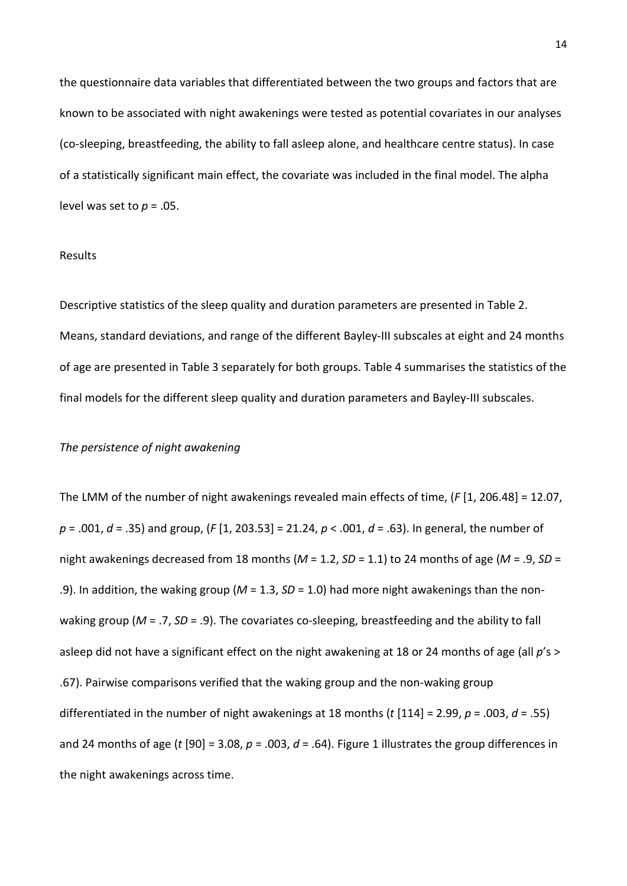the questionnaire data variables that differentiated between the two groups and factors that are known to be associated with night awakenings were tested as potential covariates in our analyses (co-sleeping, breastfeeding, the ability to fall asleep alone, and healthcare centre status). In case of a statistically significant main effect, the covariate was included in the final model. The alpha level was set to  $p = .05$ .

#### Results

Descriptive statistics of the sleep quality and duration parameters are presented in Table 2. Means, standard deviations, and range of the different Bayley-III subscales at eight and 24 months of age are presented in Table 3 separately for both groups. Table 4 summarises the statistics of the final models for the different sleep quality and duration parameters and Bayley-III subscales.

#### *The persistence of night awakening*

The LMM of the number of night awakenings revealed main effects of time, (*F* [1, 206.48] = 12.07, *p* = .001, *d* = .35) and group, (*F* [1, 203.53] = 21.24, *p* < .001, *d* = .63). In general, the number of night awakenings decreased from 18 months (*M* = 1.2, *SD* = 1.1) to 24 months of age (*M* = .9, *SD* = .9). In addition, the waking group (*M* = 1.3, *SD* = 1.0) had more night awakenings than the nonwaking group (*M* = .7, *SD* = .9). The covariates co-sleeping, breastfeeding and the ability to fall asleep did not have a significant effect on the night awakening at 18 or 24 months of age (all *p*'s > .67). Pairwise comparisons verified that the waking group and the non-waking group differentiated in the number of night awakenings at 18 months (*t* [114] = 2.99, *p* = .003, *d* = .55) and 24 months of age (*t* [90] = 3.08, *p* = .003, *d* = .64). Figure 1 illustrates the group differences in the night awakenings across time.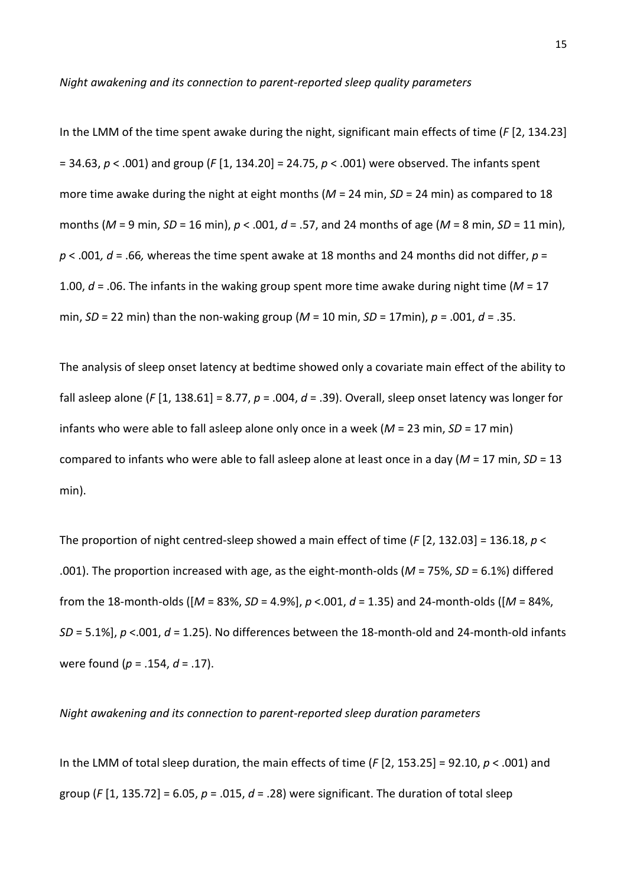In the LMM of the time spent awake during the night, significant main effects of time (*F* [2, 134.23] = 34.63, *p* < .001) and group (*F* [1, 134.20] = 24.75, *p* < .001) were observed. The infants spent more time awake during the night at eight months (*M* = 24 min, *SD* = 24 min) as compared to 18 months (*M* = 9 min, *SD* = 16 min), *p* < .001, *d* = .57, and 24 months of age (*M* = 8 min, *SD* = 11 min),  $p < .001$ ,  $d = .66$ , whereas the time spent awake at 18 months and 24 months did not differ,  $p =$ 1.00, *d* = .06. The infants in the waking group spent more time awake during night time (*M* = 17 min, *SD* = 22 min) than the non-waking group (*M* = 10 min, *SD* = 17min), *p* = .001, *d* = .35.

The analysis of sleep onset latency at bedtime showed only a covariate main effect of the ability to fall asleep alone (*F* [1, 138.61] = 8.77, *p* = .004, *d* = .39). Overall, sleep onset latency was longer for infants who were able to fall asleep alone only once in a week (*M* = 23 min, *SD* = 17 min) compared to infants who were able to fall asleep alone at least once in a day (*M* = 17 min, *SD* = 13 min).

The proportion of night centred-sleep showed a main effect of time (*F* [2, 132.03] = 136.18, *p* < .001). The proportion increased with age, as the eight-month-olds (*M* = 75%, *SD* = 6.1%) differed from the 18-month-olds ([*M* = 83%, *SD* = 4.9%], *p* <.001, *d* = 1.35) and 24-month-olds ([*M* = 84%, *SD* = 5.1%], *p* <.001, *d* = 1.25). No differences between the 18-month-old and 24-month-old infants were found (*p* = .154, *d* = .17).

#### *Night awakening and its connection to parent-reported sleep duration parameters*

In the LMM of total sleep duration, the main effects of time  $(F[2, 153.25] = 92.10, p < .001)$  and group (*F* [1, 135.72] = 6.05,  $p = .015$ ,  $d = .28$ ) were significant. The duration of total sleep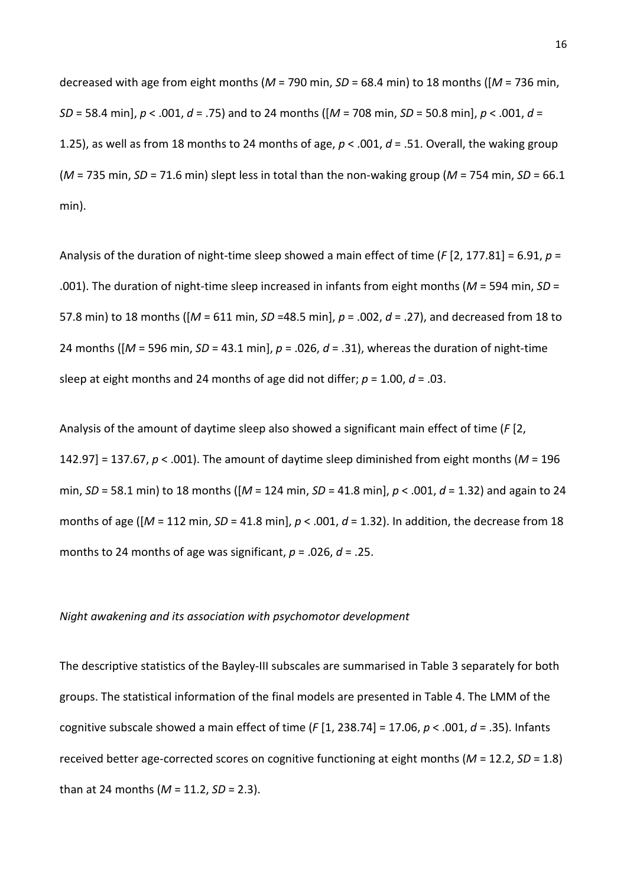decreased with age from eight months (*M* = 790 min, *SD* = 68.4 min) to 18 months ([*M* = 736 min, *SD* = 58.4 min], *p* < .001, *d* = .75) and to 24 months ([*M* = 708 min, *SD* = 50.8 min], *p* < .001, *d* = 1.25), as well as from 18 months to 24 months of age, *p* < .001, *d* = .51. Overall, the waking group (*M* = 735 min, *SD* = 71.6 min) slept less in total than the non-waking group (*M* = 754 min, *SD* = 66.1 min).

Analysis of the duration of night-time sleep showed a main effect of time (*F* [2, 177.81] = 6.91, *p* = .001). The duration of night-time sleep increased in infants from eight months (*M* = 594 min, *SD* = 57.8 min) to 18 months ([*M* = 611 min, *SD* =48.5 min], *p* = .002, *d* = .27), and decreased from 18 to 24 months ([*M* = 596 min, *SD* = 43.1 min], *p* = .026, *d* = .31), whereas the duration of night-time sleep at eight months and 24 months of age did not differ;  $p = 1.00$ ,  $d = .03$ .

Analysis of the amount of daytime sleep also showed a significant main effect of time (*F* [2, 142.97] = 137.67, *p* < .001). The amount of daytime sleep diminished from eight months (*M* = 196 min, *SD* = 58.1 min) to 18 months ([*M* = 124 min, *SD* = 41.8 min], *p* < .001, *d* = 1.32) and again to 24 months of age ([*M* = 112 min, *SD* = 41.8 min], *p* < .001, *d* = 1.32). In addition, the decrease from 18 months to 24 months of age was significant, *p* = .026, *d* = .25.

#### *Night awakening and its association with psychomotor development*

The descriptive statistics of the Bayley-III subscales are summarised in Table 3 separately for both groups. The statistical information of the final models are presented in Table 4. The LMM of the cognitive subscale showed a main effect of time (*F* [1, 238.74] = 17.06, *p* < .001, *d* = .35). Infants received better age-corrected scores on cognitive functioning at eight months (*M* = 12.2, *SD* = 1.8) than at 24 months (*M* = 11.2, *SD* = 2.3).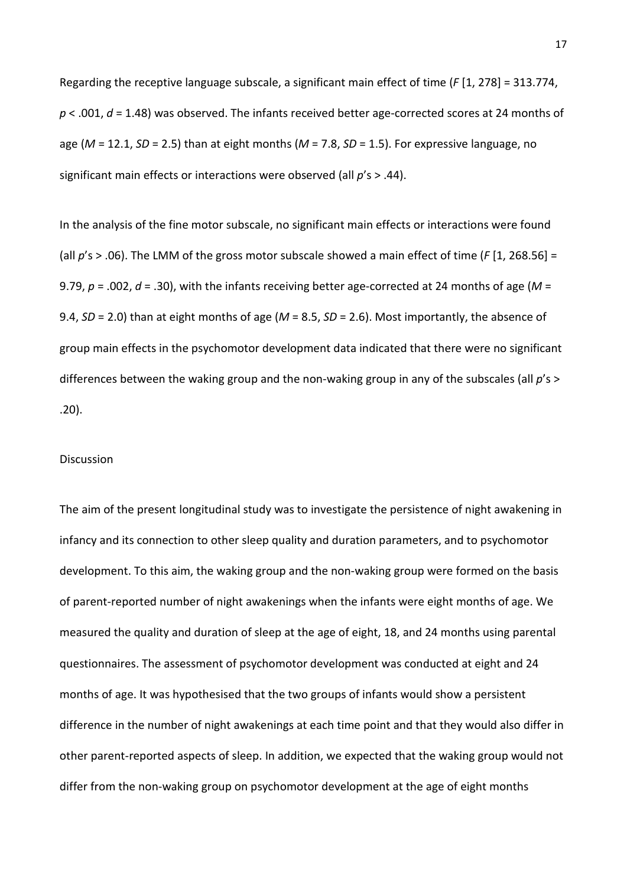Regarding the receptive language subscale, a significant main effect of time (*F* [1, 278] = 313.774, *p* < .001, *d* = 1.48) was observed. The infants received better age-corrected scores at 24 months of age (*M* = 12.1, *SD* = 2.5) than at eight months (*M* = 7.8, *SD* = 1.5). For expressive language, no significant main effects or interactions were observed (all *p*'s > .44).

In the analysis of the fine motor subscale, no significant main effects or interactions were found (all *p*'s > .06). The LMM of the gross motor subscale showed a main effect of time (*F* [1, 268.56] = 9.79,  $p = .002$ ,  $d = .30$ ), with the infants receiving better age-corrected at 24 months of age ( $M =$ 9.4, *SD* = 2.0) than at eight months of age (*M* = 8.5, *SD* = 2.6). Most importantly, the absence of group main effects in the psychomotor development data indicated that there were no significant differences between the waking group and the non-waking group in any of the subscales (all *p*'s > .20).

#### Discussion

The aim of the present longitudinal study was to investigate the persistence of night awakening in infancy and its connection to other sleep quality and duration parameters, and to psychomotor development. To this aim, the waking group and the non-waking group were formed on the basis of parent-reported number of night awakenings when the infants were eight months of age. We measured the quality and duration of sleep at the age of eight, 18, and 24 months using parental questionnaires. The assessment of psychomotor development was conducted at eight and 24 months of age. It was hypothesised that the two groups of infants would show a persistent difference in the number of night awakenings at each time point and that they would also differ in other parent-reported aspects of sleep. In addition, we expected that the waking group would not differ from the non-waking group on psychomotor development at the age of eight months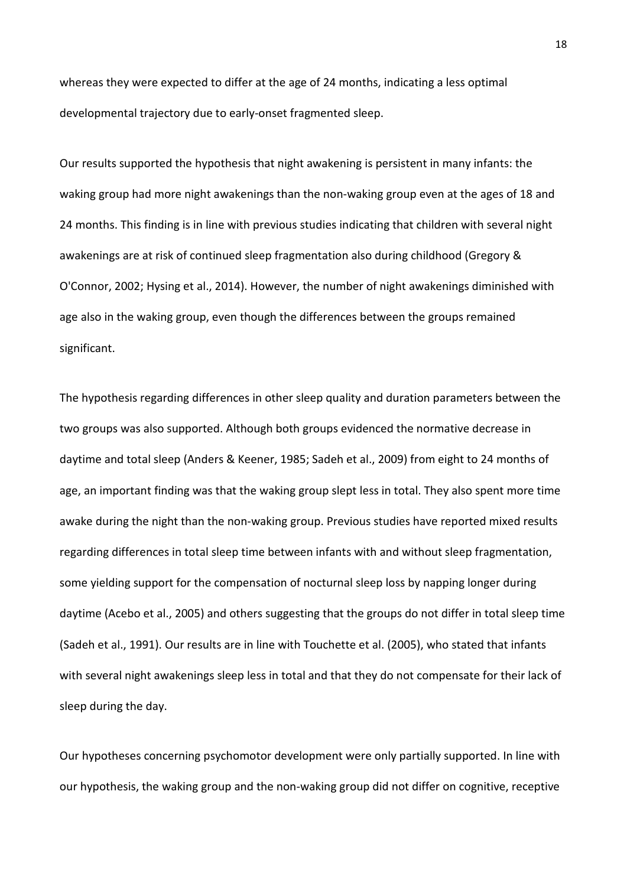whereas they were expected to differ at the age of 24 months, indicating a less optimal developmental trajectory due to early-onset fragmented sleep.

Our results supported the hypothesis that night awakening is persistent in many infants: the waking group had more night awakenings than the non-waking group even at the ages of 18 and 24 months. This finding is in line with previous studies indicating that children with several night awakenings are at risk of continued sleep fragmentation also during childhood (Gregory & O'Connor, 2002; Hysing et al., 2014). However, the number of night awakenings diminished with age also in the waking group, even though the differences between the groups remained significant.

The hypothesis regarding differences in other sleep quality and duration parameters between the two groups was also supported. Although both groups evidenced the normative decrease in daytime and total sleep (Anders & Keener, 1985; Sadeh et al., 2009) from eight to 24 months of age, an important finding was that the waking group slept less in total. They also spent more time awake during the night than the non-waking group. Previous studies have reported mixed results regarding differences in total sleep time between infants with and without sleep fragmentation, some yielding support for the compensation of nocturnal sleep loss by napping longer during daytime (Acebo et al., 2005) and others suggesting that the groups do not differ in total sleep time (Sadeh et al., 1991). Our results are in line with Touchette et al. (2005), who stated that infants with several night awakenings sleep less in total and that they do not compensate for their lack of sleep during the day.

Our hypotheses concerning psychomotor development were only partially supported. In line with our hypothesis, the waking group and the non-waking group did not differ on cognitive, receptive

18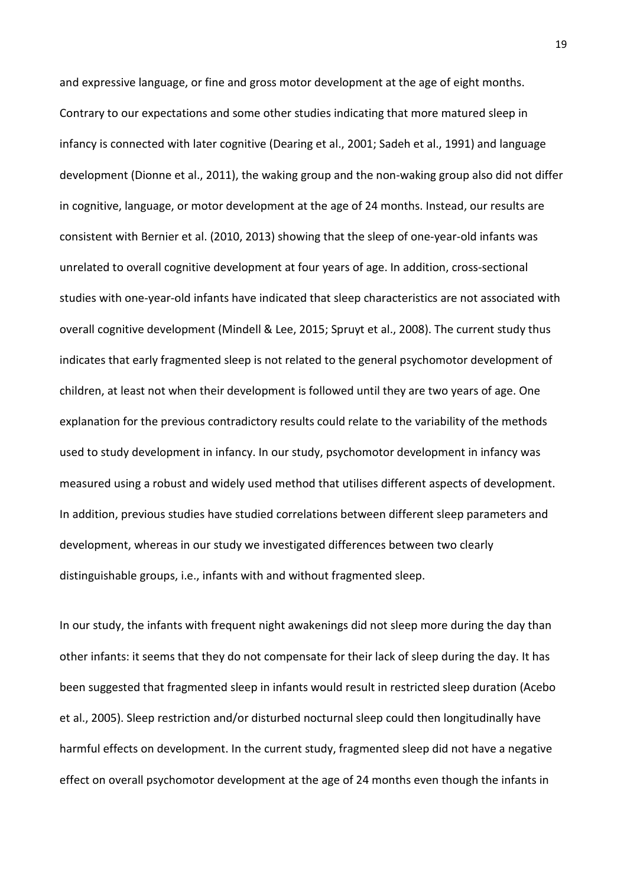and expressive language, or fine and gross motor development at the age of eight months. Contrary to our expectations and some other studies indicating that more matured sleep in infancy is connected with later cognitive (Dearing et al., 2001; Sadeh et al., 1991) and language development (Dionne et al., 2011), the waking group and the non-waking group also did not differ in cognitive, language, or motor development at the age of 24 months. Instead, our results are consistent with Bernier et al. (2010, 2013) showing that the sleep of one-year-old infants was unrelated to overall cognitive development at four years of age. In addition, cross-sectional studies with one-year-old infants have indicated that sleep characteristics are not associated with overall cognitive development (Mindell & Lee, 2015; Spruyt et al., 2008). The current study thus indicates that early fragmented sleep is not related to the general psychomotor development of children, at least not when their development is followed until they are two years of age. One explanation for the previous contradictory results could relate to the variability of the methods used to study development in infancy. In our study, psychomotor development in infancy was measured using a robust and widely used method that utilises different aspects of development. In addition, previous studies have studied correlations between different sleep parameters and development, whereas in our study we investigated differences between two clearly distinguishable groups, i.e., infants with and without fragmented sleep.

In our study, the infants with frequent night awakenings did not sleep more during the day than other infants: it seems that they do not compensate for their lack of sleep during the day. It has been suggested that fragmented sleep in infants would result in restricted sleep duration (Acebo et al., 2005). Sleep restriction and/or disturbed nocturnal sleep could then longitudinally have harmful effects on development. In the current study, fragmented sleep did not have a negative effect on overall psychomotor development at the age of 24 months even though the infants in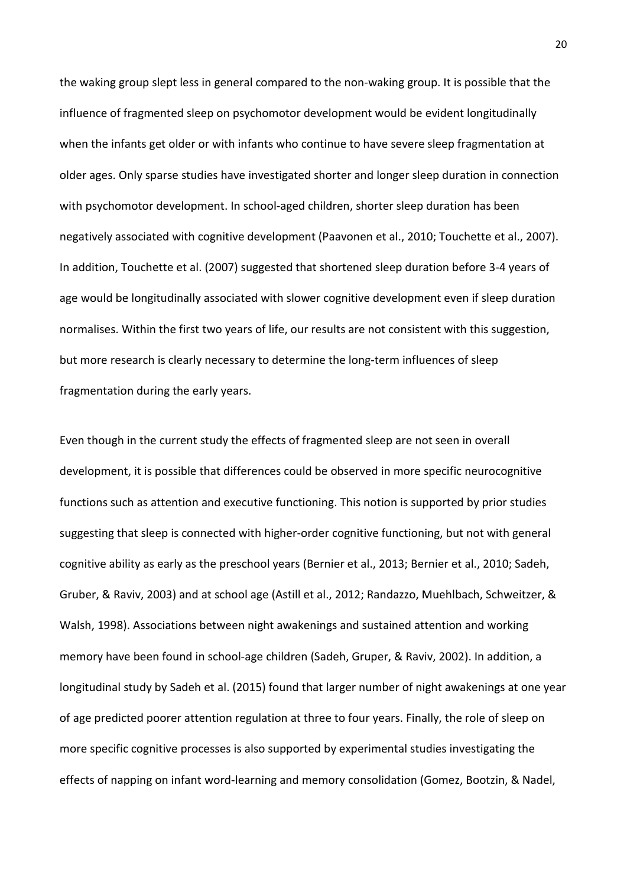the waking group slept less in general compared to the non-waking group. It is possible that the influence of fragmented sleep on psychomotor development would be evident longitudinally when the infants get older or with infants who continue to have severe sleep fragmentation at older ages. Only sparse studies have investigated shorter and longer sleep duration in connection with psychomotor development. In school-aged children, shorter sleep duration has been negatively associated with cognitive development (Paavonen et al., 2010; Touchette et al., 2007). In addition, Touchette et al. (2007) suggested that shortened sleep duration before 3-4 years of age would be longitudinally associated with slower cognitive development even if sleep duration normalises. Within the first two years of life, our results are not consistent with this suggestion, but more research is clearly necessary to determine the long-term influences of sleep fragmentation during the early years.

Even though in the current study the effects of fragmented sleep are not seen in overall development, it is possible that differences could be observed in more specific neurocognitive functions such as attention and executive functioning. This notion is supported by prior studies suggesting that sleep is connected with higher-order cognitive functioning, but not with general cognitive ability as early as the preschool years (Bernier et al., 2013; Bernier et al., 2010; Sadeh, Gruber, & Raviv, 2003) and at school age (Astill et al., 2012; Randazzo, Muehlbach, Schweitzer, & Walsh, 1998). Associations between night awakenings and sustained attention and working memory have been found in school-age children (Sadeh, Gruper, & Raviv, 2002). In addition, a longitudinal study by Sadeh et al. (2015) found that larger number of night awakenings at one year of age predicted poorer attention regulation at three to four years. Finally, the role of sleep on more specific cognitive processes is also supported by experimental studies investigating the effects of napping on infant word-learning and memory consolidation (Gomez, Bootzin, & Nadel,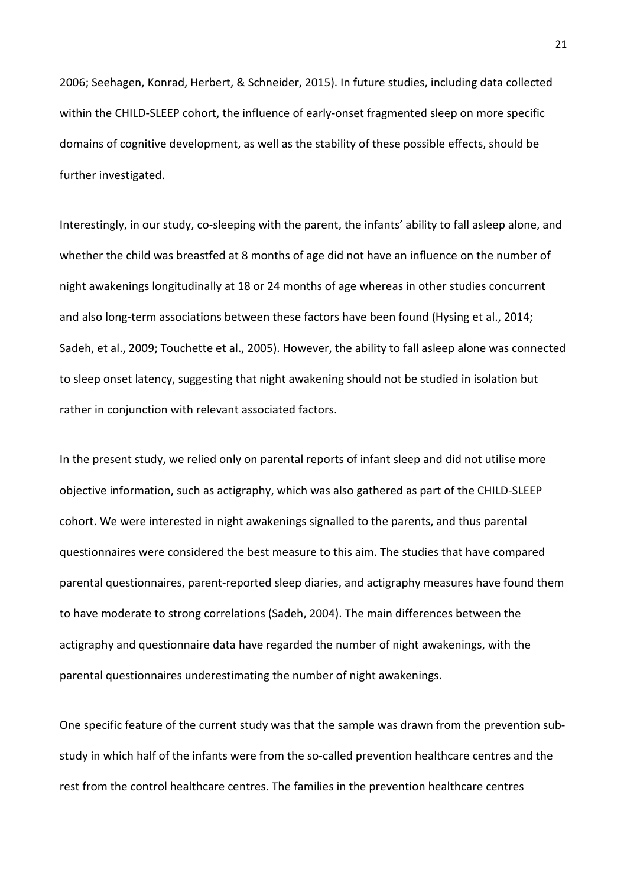2006; Seehagen, Konrad, Herbert, & Schneider, 2015). In future studies, including data collected within the CHILD-SLEEP cohort, the influence of early-onset fragmented sleep on more specific domains of cognitive development, as well as the stability of these possible effects, should be further investigated.

Interestingly, in our study, co-sleeping with the parent, the infants' ability to fall asleep alone, and whether the child was breastfed at 8 months of age did not have an influence on the number of night awakenings longitudinally at 18 or 24 months of age whereas in other studies concurrent and also long-term associations between these factors have been found (Hysing et al., 2014; Sadeh, et al., 2009; Touchette et al., 2005). However, the ability to fall asleep alone was connected to sleep onset latency, suggesting that night awakening should not be studied in isolation but rather in conjunction with relevant associated factors.

In the present study, we relied only on parental reports of infant sleep and did not utilise more objective information, such as actigraphy, which was also gathered as part of the CHILD-SLEEP cohort. We were interested in night awakenings signalled to the parents, and thus parental questionnaires were considered the best measure to this aim. The studies that have compared parental questionnaires, parent-reported sleep diaries, and actigraphy measures have found them to have moderate to strong correlations (Sadeh, 2004). The main differences between the actigraphy and questionnaire data have regarded the number of night awakenings, with the parental questionnaires underestimating the number of night awakenings.

One specific feature of the current study was that the sample was drawn from the prevention substudy in which half of the infants were from the so-called prevention healthcare centres and the rest from the control healthcare centres. The families in the prevention healthcare centres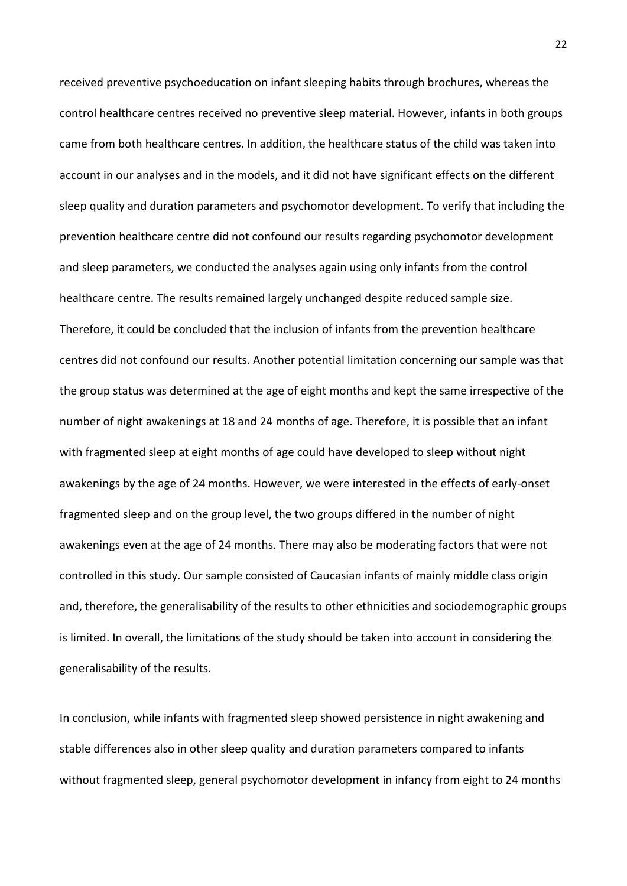received preventive psychoeducation on infant sleeping habits through brochures, whereas the control healthcare centres received no preventive sleep material. However, infants in both groups came from both healthcare centres. In addition, the healthcare status of the child was taken into account in our analyses and in the models, and it did not have significant effects on the different sleep quality and duration parameters and psychomotor development. To verify that including the prevention healthcare centre did not confound our results regarding psychomotor development and sleep parameters, we conducted the analyses again using only infants from the control healthcare centre. The results remained largely unchanged despite reduced sample size. Therefore, it could be concluded that the inclusion of infants from the prevention healthcare centres did not confound our results. Another potential limitation concerning our sample was that the group status was determined at the age of eight months and kept the same irrespective of the number of night awakenings at 18 and 24 months of age. Therefore, it is possible that an infant with fragmented sleep at eight months of age could have developed to sleep without night awakenings by the age of 24 months. However, we were interested in the effects of early-onset fragmented sleep and on the group level, the two groups differed in the number of night awakenings even at the age of 24 months. There may also be moderating factors that were not controlled in this study. Our sample consisted of Caucasian infants of mainly middle class origin and, therefore, the generalisability of the results to other ethnicities and sociodemographic groups is limited. In overall, the limitations of the study should be taken into account in considering the generalisability of the results.

In conclusion, while infants with fragmented sleep showed persistence in night awakening and stable differences also in other sleep quality and duration parameters compared to infants without fragmented sleep, general psychomotor development in infancy from eight to 24 months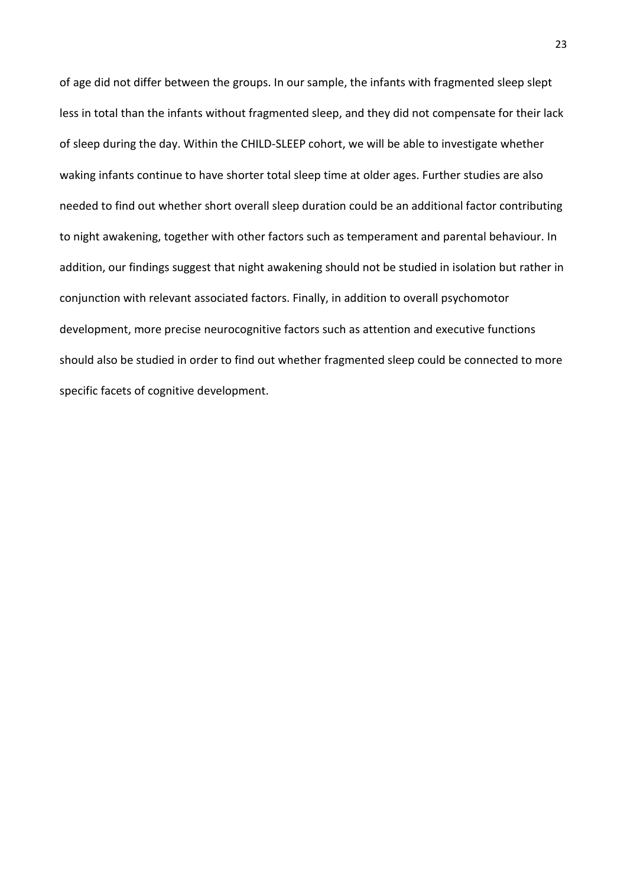of age did not differ between the groups. In our sample, the infants with fragmented sleep slept less in total than the infants without fragmented sleep, and they did not compensate for their lack of sleep during the day. Within the CHILD-SLEEP cohort, we will be able to investigate whether waking infants continue to have shorter total sleep time at older ages. Further studies are also needed to find out whether short overall sleep duration could be an additional factor contributing to night awakening, together with other factors such as temperament and parental behaviour. In addition, our findings suggest that night awakening should not be studied in isolation but rather in conjunction with relevant associated factors. Finally, in addition to overall psychomotor development, more precise neurocognitive factors such as attention and executive functions should also be studied in order to find out whether fragmented sleep could be connected to more specific facets of cognitive development.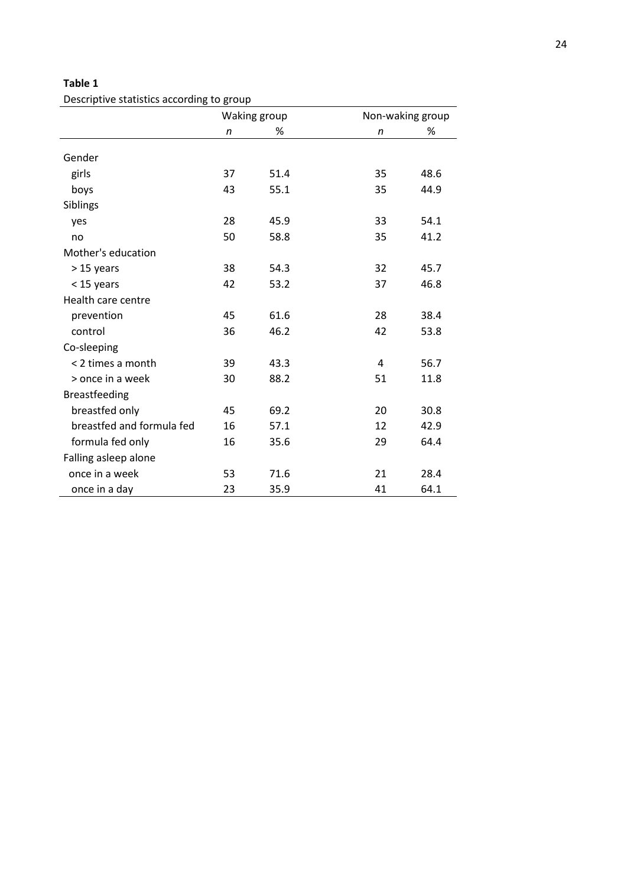Descriptive statistics according to group

|                           | Waking group |      | Non-waking group |      |  |
|---------------------------|--------------|------|------------------|------|--|
|                           | n            | %    | n                | %    |  |
| Gender                    |              |      |                  |      |  |
| girls                     | 37           | 51.4 | 35               | 48.6 |  |
| boys                      | 43           | 55.1 | 35               | 44.9 |  |
| Siblings                  |              |      |                  |      |  |
| yes                       | 28           | 45.9 | 33               | 54.1 |  |
| no                        | 50           | 58.8 | 35               | 41.2 |  |
| Mother's education        |              |      |                  |      |  |
| $>15$ years               | 38           | 54.3 | 32               | 45.7 |  |
| $<$ 15 years              | 42           | 53.2 | 37               | 46.8 |  |
| Health care centre        |              |      |                  |      |  |
| prevention                | 45           | 61.6 | 28               | 38.4 |  |
| control                   | 36           | 46.2 | 42               | 53.8 |  |
| Co-sleeping               |              |      |                  |      |  |
| < 2 times a month         | 39           | 43.3 | 4                | 56.7 |  |
| > once in a week          | 30           | 88.2 | 51               | 11.8 |  |
| Breastfeeding             |              |      |                  |      |  |
| breastfed only            | 45           | 69.2 | 20               | 30.8 |  |
| breastfed and formula fed | 16           | 57.1 | 12               | 42.9 |  |
| formula fed only          | 16           | 35.6 | 29               | 64.4 |  |
| Falling asleep alone      |              |      |                  |      |  |
| once in a week            | 53           | 71.6 | 21               | 28.4 |  |
| once in a day             | 23           | 35.9 | 41               | 64.1 |  |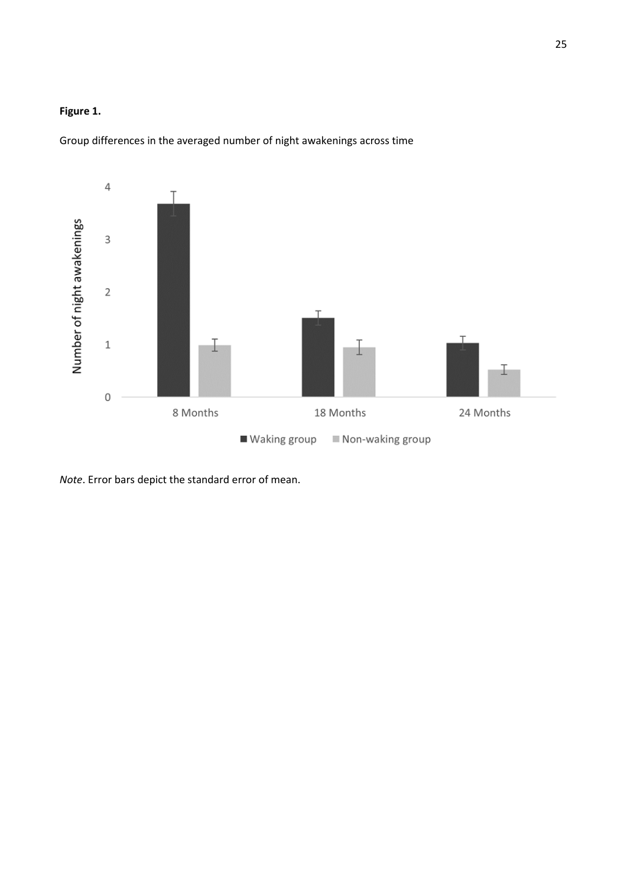# **Figure 1.**

Group differences in the averaged number of night awakenings across time



*Note*. Error bars depict the standard error of mean.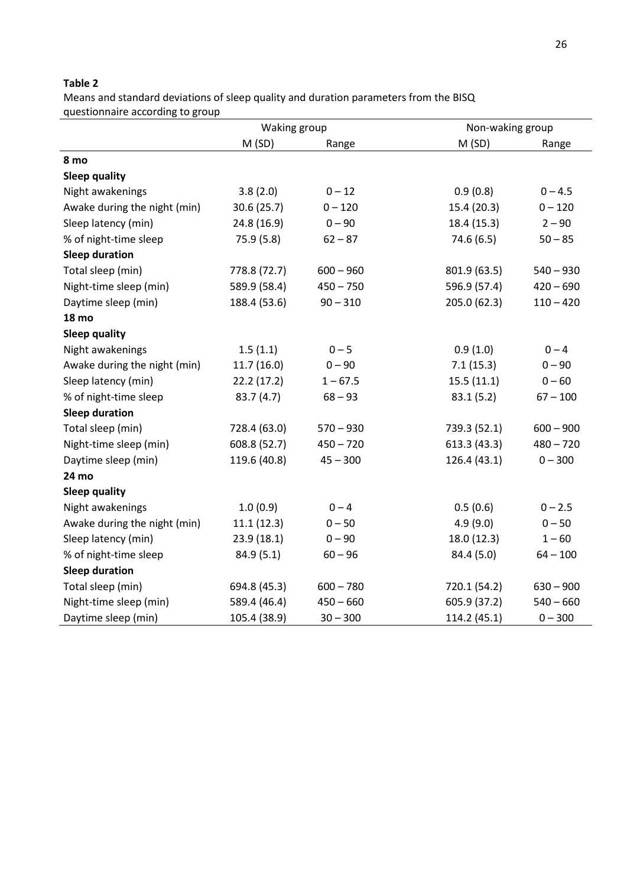Means and standard deviations of sleep quality and duration parameters from the BISQ questionnaire according to group

|                              | Waking group |             |              | Non-waking group |  |  |
|------------------------------|--------------|-------------|--------------|------------------|--|--|
|                              | M(SD)        | Range       | M(SD)        | Range            |  |  |
| 8 mo                         |              |             |              |                  |  |  |
| <b>Sleep quality</b>         |              |             |              |                  |  |  |
| Night awakenings             | 3.8(2.0)     | $0 - 12$    | 0.9(0.8)     | $0 - 4.5$        |  |  |
| Awake during the night (min) | 30.6 (25.7)  | $0 - 120$   | 15.4 (20.3)  | $0 - 120$        |  |  |
| Sleep latency (min)          | 24.8 (16.9)  | $0 - 90$    | 18.4 (15.3)  | $2 - 90$         |  |  |
| % of night-time sleep        | 75.9 (5.8)   | $62 - 87$   | 74.6 (6.5)   | $50 - 85$        |  |  |
| <b>Sleep duration</b>        |              |             |              |                  |  |  |
| Total sleep (min)            | 778.8 (72.7) | $600 - 960$ | 801.9 (63.5) | $540 - 930$      |  |  |
| Night-time sleep (min)       | 589.9 (58.4) | $450 - 750$ | 596.9 (57.4) | $420 - 690$      |  |  |
| Daytime sleep (min)          | 188.4 (53.6) | $90 - 310$  | 205.0 (62.3) | $110 - 420$      |  |  |
| <b>18 mo</b>                 |              |             |              |                  |  |  |
| <b>Sleep quality</b>         |              |             |              |                  |  |  |
| Night awakenings             | 1.5(1.1)     | $0 - 5$     | 0.9(1.0)     | $0 - 4$          |  |  |
| Awake during the night (min) | 11.7(16.0)   | $0 - 90$    | 7.1(15.3)    | $0 - 90$         |  |  |
| Sleep latency (min)          | 22.2(17.2)   | $1 - 67.5$  | 15.5(11.1)   | $0 - 60$         |  |  |
| % of night-time sleep        | 83.7 (4.7)   | $68 - 93$   | 83.1(5.2)    | $67 - 100$       |  |  |
| <b>Sleep duration</b>        |              |             |              |                  |  |  |
| Total sleep (min)            | 728.4 (63.0) | $570 - 930$ | 739.3 (52.1) | $600 - 900$      |  |  |
| Night-time sleep (min)       | 608.8 (52.7) | $450 - 720$ | 613.3 (43.3) | $480 - 720$      |  |  |
| Daytime sleep (min)          | 119.6 (40.8) | $45 - 300$  | 126.4 (43.1) | $0 - 300$        |  |  |
| 24 mo                        |              |             |              |                  |  |  |
| <b>Sleep quality</b>         |              |             |              |                  |  |  |
| Night awakenings             | 1.0(0.9)     | $0 - 4$     | 0.5(0.6)     | $0 - 2.5$        |  |  |
| Awake during the night (min) | 11.1(12.3)   | $0 - 50$    | 4.9(9.0)     | $0 - 50$         |  |  |
| Sleep latency (min)          | 23.9 (18.1)  | $0 - 90$    | 18.0 (12.3)  | $1 - 60$         |  |  |
| % of night-time sleep        | 84.9(5.1)    | $60 - 96$   | 84.4 (5.0)   | $64 - 100$       |  |  |
| <b>Sleep duration</b>        |              |             |              |                  |  |  |
| Total sleep (min)            | 694.8 (45.3) | $600 - 780$ | 720.1 (54.2) | $630 - 900$      |  |  |
| Night-time sleep (min)       | 589.4 (46.4) | $450 - 660$ | 605.9 (37.2) | $540 - 660$      |  |  |
| Daytime sleep (min)          | 105.4 (38.9) | $30 - 300$  | 114.2 (45.1) | $0 - 300$        |  |  |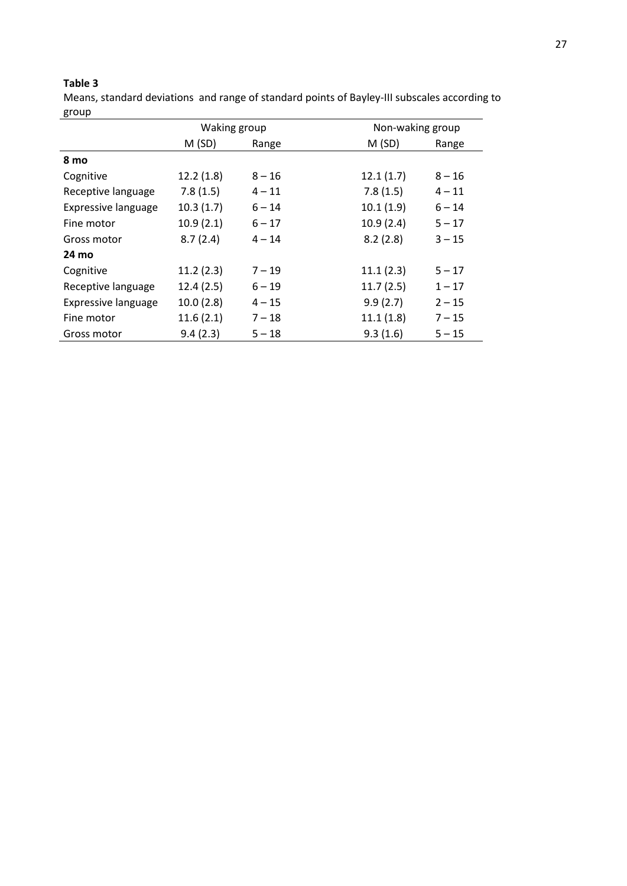Means, standard deviations and range of standard points of Bayley-III subscales according to group

|                            | Waking group |          |           | Non-waking group |  |  |
|----------------------------|--------------|----------|-----------|------------------|--|--|
|                            | M(SD)        | Range    | M(SD)     | Range            |  |  |
| 8 mo                       |              |          |           |                  |  |  |
| Cognitive                  | 12.2(1.8)    | $8 - 16$ | 12.1(1.7) | $8 - 16$         |  |  |
| Receptive language         | 7.8(1.5)     | $4 - 11$ | 7.8(1.5)  | $4 - 11$         |  |  |
| <b>Expressive language</b> | 10.3(1.7)    | $6 - 14$ | 10.1(1.9) | $6 - 14$         |  |  |
| Fine motor                 | 10.9(2.1)    | $6 - 17$ | 10.9(2.4) | $5 - 17$         |  |  |
| Gross motor                | 8.7(2.4)     | $4 - 14$ | 8.2(2.8)  | $3 - 15$         |  |  |
| 24 mo                      |              |          |           |                  |  |  |
| Cognitive                  | 11.2(2.3)    | $7 - 19$ | 11.1(2.3) | $5 - 17$         |  |  |
| Receptive language         | 12.4(2.5)    | $6 - 19$ | 11.7(2.5) | $1 - 17$         |  |  |
| <b>Expressive language</b> | 10.0(2.8)    | $4 - 15$ | 9.9(2.7)  | $2 - 15$         |  |  |
| Fine motor                 | 11.6(2.1)    | $7 - 18$ | 11.1(1.8) | $7 - 15$         |  |  |
| Gross motor                | 9.4(2.3)     | $5 - 18$ | 9.3(1.6)  | $5 - 15$         |  |  |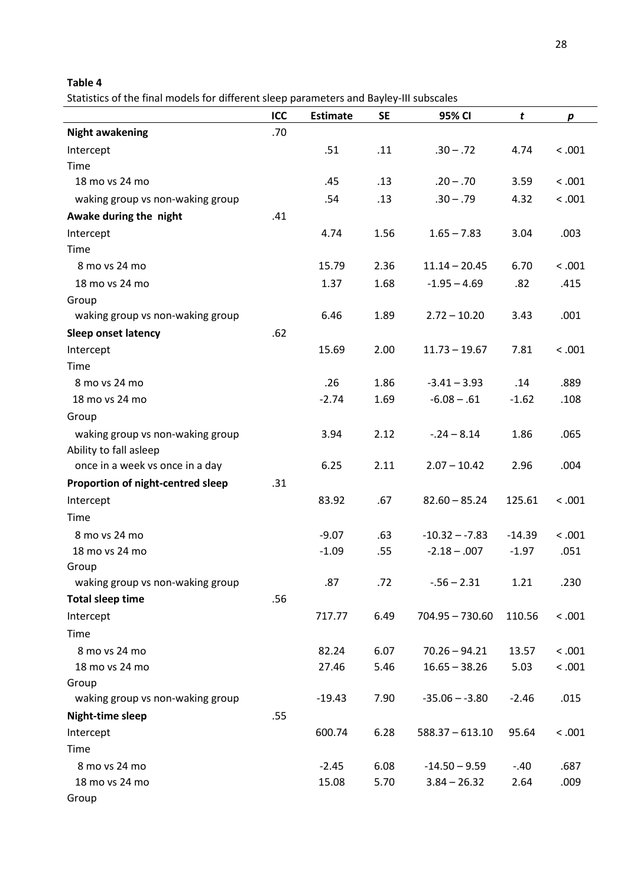Statistics of the final models for different sleep parameters and Bayley-III subscales

|                                   | ICC | <b>Estimate</b> | <b>SE</b> | 95% CI            | t        | $\boldsymbol{p}$ |
|-----------------------------------|-----|-----------------|-----------|-------------------|----------|------------------|
| <b>Night awakening</b>            | .70 |                 |           |                   |          |                  |
| Intercept                         |     | .51             | .11       | $.30 - .72$       | 4.74     | < .001           |
| Time                              |     |                 |           |                   |          |                  |
| 18 mo vs 24 mo                    |     | .45             | .13       | $.20 - .70$       | 3.59     | < .001           |
| waking group vs non-waking group  |     | .54             | .13       | $.30 - .79$       | 4.32     | < .001           |
| Awake during the night            | .41 |                 |           |                   |          |                  |
| Intercept                         |     | 4.74            | 1.56      | $1.65 - 7.83$     | 3.04     | .003             |
| Time                              |     |                 |           |                   |          |                  |
| 8 mo vs 24 mo                     |     | 15.79           | 2.36      | $11.14 - 20.45$   | 6.70     | < .001           |
| 18 mo vs 24 mo                    |     | 1.37            | 1.68      | $-1.95 - 4.69$    | .82      | .415             |
| Group                             |     |                 |           |                   |          |                  |
| waking group vs non-waking group  |     | 6.46            | 1.89      | $2.72 - 10.20$    | 3.43     | .001             |
| <b>Sleep onset latency</b>        | .62 |                 |           |                   |          |                  |
| Intercept                         |     | 15.69           | 2.00      | $11.73 - 19.67$   | 7.81     | < .001           |
| Time                              |     |                 |           |                   |          |                  |
| 8 mo vs 24 mo                     |     | .26             | 1.86      | $-3.41 - 3.93$    | .14      | .889             |
| 18 mo vs 24 mo                    |     | $-2.74$         | 1.69      | $-6.08 - .61$     | $-1.62$  | .108             |
| Group                             |     |                 |           |                   |          |                  |
| waking group vs non-waking group  |     | 3.94            | 2.12      | $-.24 - 8.14$     | 1.86     | .065             |
| Ability to fall asleep            |     |                 |           |                   |          |                  |
| once in a week vs once in a day   |     | 6.25            | 2.11      | $2.07 - 10.42$    | 2.96     | .004             |
| Proportion of night-centred sleep | .31 |                 |           |                   |          |                  |
| Intercept                         |     | 83.92           | .67       | $82.60 - 85.24$   | 125.61   | < .001           |
| Time                              |     |                 |           |                   |          |                  |
| 8 mo vs 24 mo                     |     | $-9.07$         | .63       | $-10.32 - -7.83$  | $-14.39$ | < .001           |
| 18 mo vs 24 mo                    |     | $-1.09$         | .55       | $-2.18 - 0.007$   | $-1.97$  | .051             |
| Group                             |     |                 |           |                   |          |                  |
| waking group vs non-waking group  |     | .87             | .72       | $-0.56 - 2.31$    | 1.21     | .230             |
| <b>Total sleep time</b>           | .56 |                 |           |                   |          |                  |
| Intercept                         |     | 717.77          | 6.49      | $704.95 - 730.60$ | 110.56   | < .001           |
| Time                              |     |                 |           |                   |          |                  |
| 8 mo vs 24 mo                     |     | 82.24           | 6.07      | $70.26 - 94.21$   | 13.57    | < .001           |
| 18 mo vs 24 mo                    |     | 27.46           | 5.46      | $16.65 - 38.26$   | 5.03     | < .001           |
| Group                             |     |                 |           |                   |          |                  |
| waking group vs non-waking group  |     | $-19.43$        | 7.90      | $-35.06 - -3.80$  | $-2.46$  | .015             |
| Night-time sleep                  | .55 |                 |           |                   |          |                  |
| Intercept                         |     | 600.74          | 6.28      | $588.37 - 613.10$ | 95.64    | < .001           |
| Time                              |     |                 |           |                   |          |                  |
| 8 mo vs 24 mo                     |     | $-2.45$         | 6.08      | $-14.50 - 9.59$   | $-.40$   | .687             |
| 18 mo vs 24 mo                    |     | 15.08           | 5.70      | $3.84 - 26.32$    | 2.64     | .009             |
| Group                             |     |                 |           |                   |          |                  |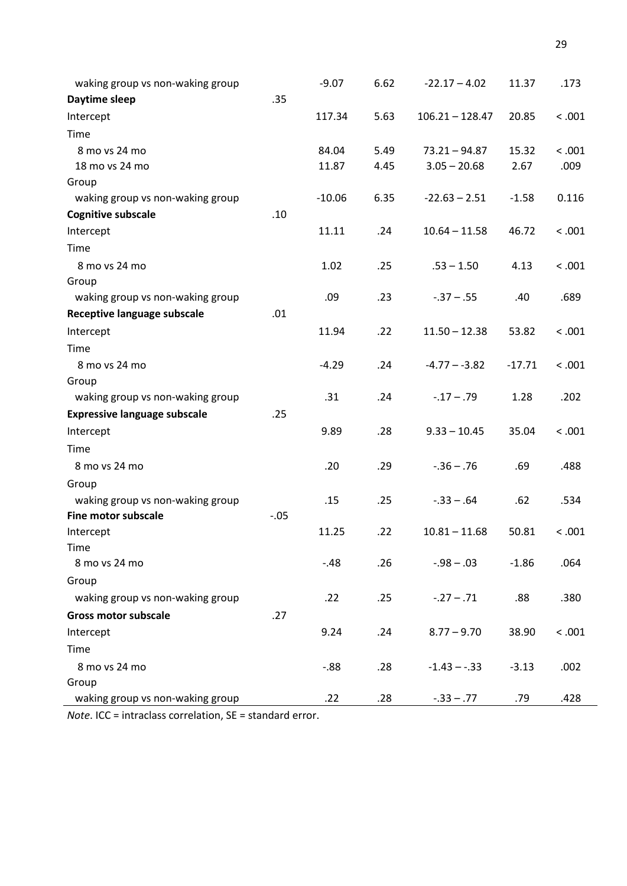| waking group vs non-waking group    |        | $-9.07$  | 6.62 | $-22.17 - 4.02$   | 11.37    | .173   |
|-------------------------------------|--------|----------|------|-------------------|----------|--------|
| Daytime sleep                       | .35    |          |      |                   |          |        |
| Intercept                           |        | 117.34   | 5.63 | $106.21 - 128.47$ | 20.85    | < .001 |
| Time                                |        |          |      |                   |          |        |
| 8 mo vs 24 mo                       |        | 84.04    | 5.49 | $73.21 - 94.87$   | 15.32    | < .001 |
| 18 mo vs 24 mo                      |        | 11.87    | 4.45 | $3.05 - 20.68$    | 2.67     | .009   |
| Group                               |        |          |      |                   |          |        |
| waking group vs non-waking group    |        | $-10.06$ | 6.35 | $-22.63 - 2.51$   | $-1.58$  | 0.116  |
| <b>Cognitive subscale</b>           | .10    |          |      |                   |          |        |
| Intercept                           |        | 11.11    | .24  | $10.64 - 11.58$   | 46.72    | < .001 |
| Time                                |        |          |      |                   |          |        |
| 8 mo vs 24 mo                       |        | 1.02     | .25  | $.53 - 1.50$      | 4.13     | < .001 |
| Group                               |        |          |      |                   |          |        |
| waking group vs non-waking group    |        | .09      | .23  | $-0.37 - 0.55$    | .40      | .689   |
| Receptive language subscale         | .01    |          |      |                   |          |        |
| Intercept                           |        | 11.94    | .22  | $11.50 - 12.38$   | 53.82    | < .001 |
| Time                                |        |          |      |                   |          |        |
| 8 mo vs 24 mo                       |        | $-4.29$  | .24  | $-4.77 - -3.82$   | $-17.71$ | < .001 |
| Group                               |        |          |      |                   |          |        |
| waking group vs non-waking group    |        | .31      | .24  | $-17 - 79$        | 1.28     | .202   |
| <b>Expressive language subscale</b> | .25    |          |      |                   |          |        |
| Intercept                           |        | 9.89     | .28  | $9.33 - 10.45$    | 35.04    | < .001 |
| Time                                |        |          |      |                   |          |        |
| 8 mo vs 24 mo                       |        | .20      | .29  | $-0.36 - 0.76$    | .69      | .488   |
| Group                               |        |          |      |                   |          |        |
| waking group vs non-waking group    |        | .15      | .25  | $-.33-.64$        | .62      | .534   |
| Fine motor subscale                 | $-.05$ |          |      |                   |          |        |
| Intercept                           |        | 11.25    | .22  | $10.81 - 11.68$   | 50.81    | < .001 |
| Time                                |        |          |      |                   |          |        |
| 8 mo vs 24 mo                       |        | $-.48$   | .26  | $-0.98 - 0.03$    | $-1.86$  | .064   |
| Group                               |        |          |      |                   |          |        |
| waking group vs non-waking group    |        | .22      | .25  | $-.27-.71$        | .88      | .380   |
| <b>Gross motor subscale</b>         | .27    |          |      |                   |          |        |
| Intercept                           |        | 9.24     | .24  | $8.77 - 9.70$     | 38.90    | < .001 |
| Time                                |        |          |      |                   |          |        |
| 8 mo vs 24 mo                       |        | $-0.88$  | .28  | $-1.43 - -33$     | $-3.13$  | .002   |
| Group                               |        |          |      |                   |          |        |
| waking group vs non-waking group    |        | .22      | .28  | $-.33 - .77$      | .79      | .428   |

*Note*. ICC = intraclass correlation, SE = standard error.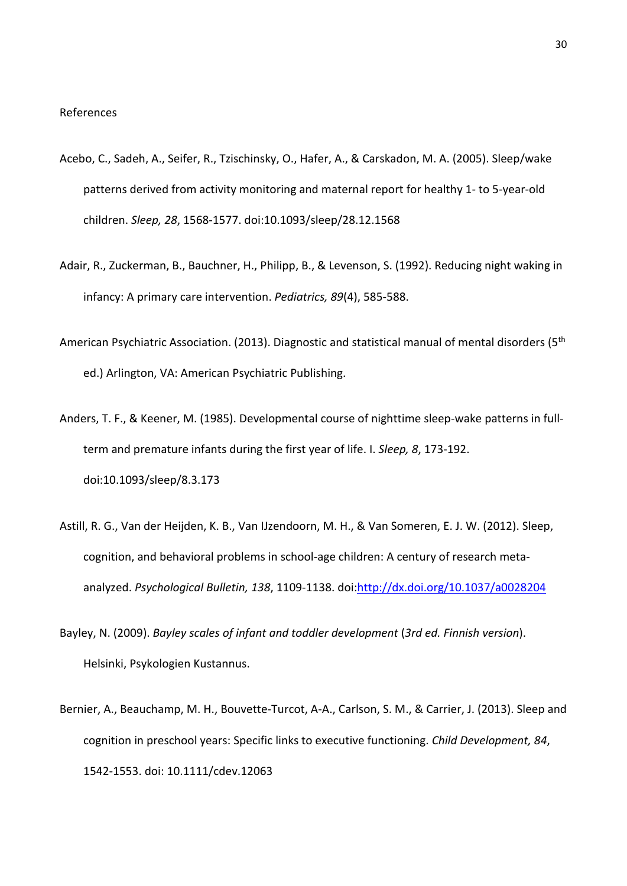- Acebo, C., Sadeh, A., Seifer, R., Tzischinsky, O., Hafer, A., & Carskadon, M. A. (2005). Sleep/wake patterns derived from activity monitoring and maternal report for healthy 1- to 5-year-old children. *Sleep, 28*, 1568-1577. doi:10.1093/sleep/28.12.1568
- Adair, R., Zuckerman, B., Bauchner, H., Philipp, B., & Levenson, S. (1992). Reducing night waking in infancy: A primary care intervention. *Pediatrics, 89*(4), 585-588.
- American Psychiatric Association. (2013). Diagnostic and statistical manual of mental disorders (5<sup>th</sup> ed.) Arlington, VA: American Psychiatric Publishing.
- Anders, T. F., & Keener, M. (1985). Developmental course of nighttime sleep-wake patterns in fullterm and premature infants during the first year of life. I. *Sleep, 8*, 173-192. doi:10.1093/sleep/8.3.173
- Astill, R. G., Van der Heijden, K. B., Van IJzendoorn, M. H., & Van Someren, E. J. W. (2012). Sleep, cognition, and behavioral problems in school-age children: A century of research metaanalyzed. *Psychological Bulletin, 138*, 1109-1138. doi[:http://dx.doi.org/10.1037/a0028204](http://dx.doi.org/10.1037/a0028204)
- Bayley, N. (2009). *Bayley scales of infant and toddler development* (*3rd ed. Finnish version*). Helsinki, Psykologien Kustannus.
- Bernier, A., Beauchamp, M. H., Bouvette-Turcot, A-A., Carlson, S. M., & Carrier, J. (2013). Sleep and cognition in preschool years: Specific links to executive functioning. *Child Development, 84*, 1542-1553. doi: 10.1111/cdev.12063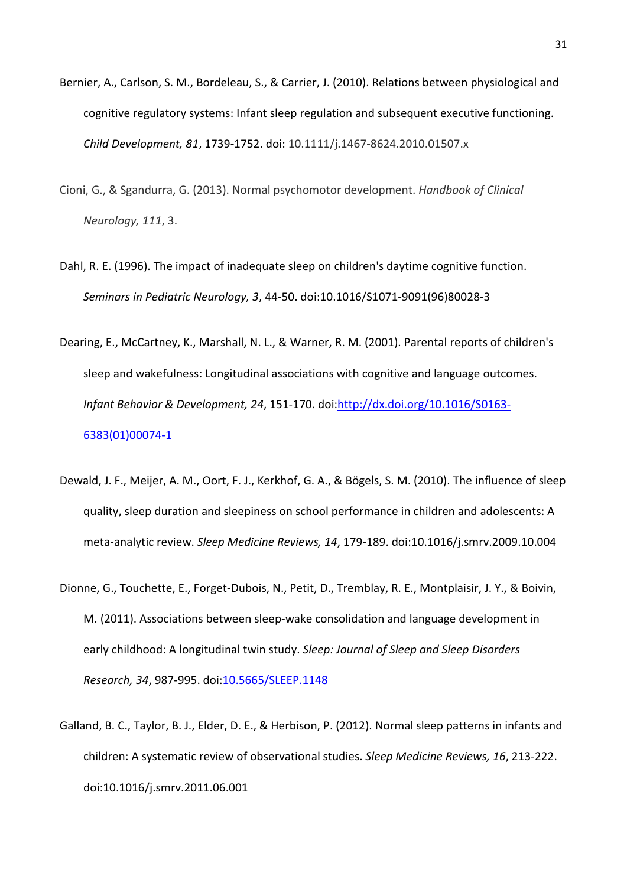- Bernier, A., Carlson, S. M., Bordeleau, S., & Carrier, J. (2010). Relations between physiological and cognitive regulatory systems: Infant sleep regulation and subsequent executive functioning. *Child Development, 81*, 1739-1752. doi: 10.1111/j.1467-8624.2010.01507.x
- Cioni, G., & Sgandurra, G. (2013). Normal psychomotor development. *Handbook of Clinical Neurology, 111*, 3.
- Dahl, R. E. (1996). The impact of inadequate sleep on children's daytime cognitive function. *Seminars in Pediatric Neurology, 3*, 44-50. doi:10.1016/S1071-9091(96)80028-3
- Dearing, E., McCartney, K., Marshall, N. L., & Warner, R. M. (2001). Parental reports of children's sleep and wakefulness: Longitudinal associations with cognitive and language outcomes. *Infant Behavior & Development, 24*, 151-170. doi[:http://dx.doi.org/10.1016/S0163-](http://dx.doi.org/10.1016/S0163-6383(01)00074-1) [6383\(01\)00074-1](http://dx.doi.org/10.1016/S0163-6383(01)00074-1)
- Dewald, J. F., Meijer, A. M., Oort, F. J., Kerkhof, G. A., & Bögels, S. M. (2010). The influence of sleep quality, sleep duration and sleepiness on school performance in children and adolescents: A meta-analytic review. *Sleep Medicine Reviews, 14*, 179-189. doi:10.1016/j.smrv.2009.10.004
- Dionne, G., Touchette, E., Forget-Dubois, N., Petit, D., Tremblay, R. E., Montplaisir, J. Y., & Boivin, M. (2011). Associations between sleep-wake consolidation and language development in early childhood: A longitudinal twin study. *Sleep: Journal of Sleep and Sleep Disorders Research, 34*, 987-995. doi[:10.5665/SLEEP.1148](https://dx.doi.org/10.5665%2FSLEEP.1148)
- Galland, B. C., Taylor, B. J., Elder, D. E., & Herbison, P. (2012). Normal sleep patterns in infants and children: A systematic review of observational studies. *Sleep Medicine Reviews, 16*, 213-222. doi:10.1016/j.smrv.2011.06.001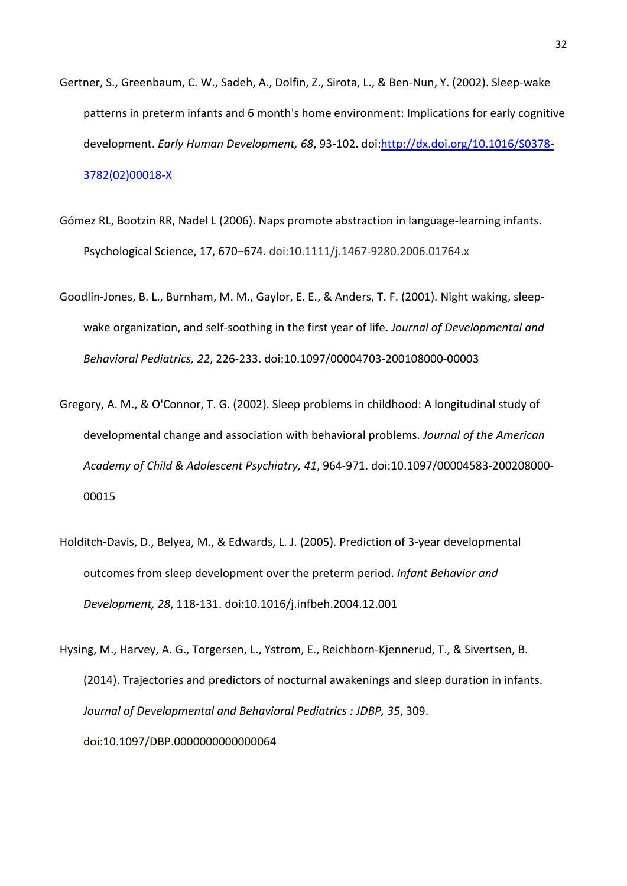- Gertner, S., Greenbaum, C. W., Sadeh, A., Dolfin, Z., Sirota, L., & Ben-Nun, Y. (2002). Sleep-wake patterns in preterm infants and 6 month's home environment: Implications for early cognitive development. *Early Human Development, 68*, 93-102. doi[:http://dx.doi.org/10.1016/S0378-](http://dx.doi.org/10.1016/S0378-3782(02)00018-X) [3782\(02\)00018-X](http://dx.doi.org/10.1016/S0378-3782(02)00018-X)
- Gómez RL, Bootzin RR, Nadel L (2006). Naps promote abstraction in language-learning infants. Psychological Science, 17, 670–674. doi:10.1111/j.1467-9280.2006.01764.x
- Goodlin-Jones, B. L., Burnham, M. M., Gaylor, E. E., & Anders, T. F. (2001). Night waking, sleepwake organization, and self-soothing in the first year of life. *Journal of Developmental and Behavioral Pediatrics, 22*, 226-233. doi:10.1097/00004703-200108000-00003
- Gregory, A. M., & O'Connor, T. G. (2002). Sleep problems in childhood: A longitudinal study of developmental change and association with behavioral problems. *Journal of the American Academy of Child & Adolescent Psychiatry, 41*, 964-971. doi:10.1097/00004583-200208000- 00015
- Holditch-Davis, D., Belyea, M., & Edwards, L. J. (2005). Prediction of 3-year developmental outcomes from sleep development over the preterm period. *Infant Behavior and Development, 28*, 118-131. doi:10.1016/j.infbeh.2004.12.001
- Hysing, M., Harvey, A. G., Torgersen, L., Ystrom, E., Reichborn-Kjennerud, T., & Sivertsen, B. (2014). Trajectories and predictors of nocturnal awakenings and sleep duration in infants. *Journal of Developmental and Behavioral Pediatrics : JDBP, 35*, 309. doi:10.1097/DBP.0000000000000064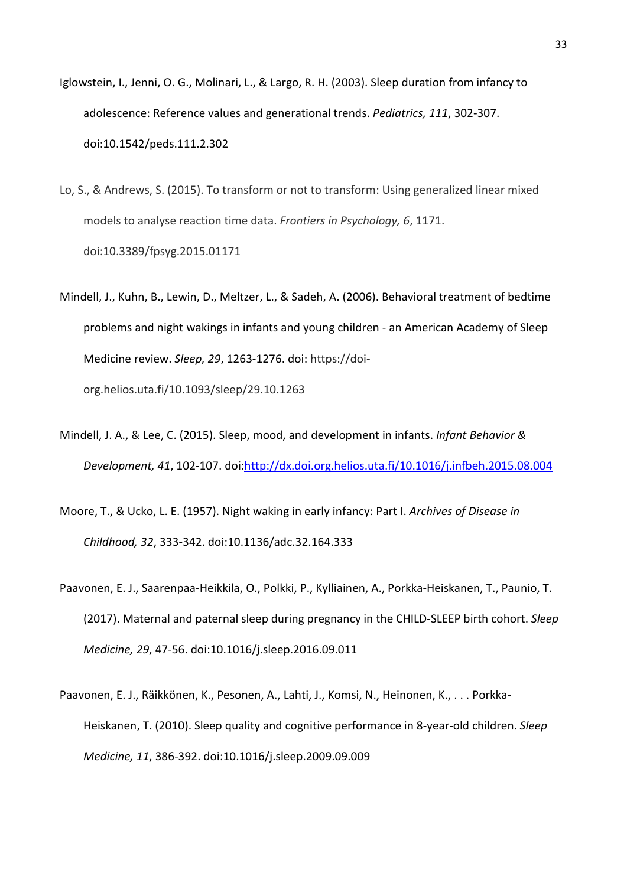- Iglowstein, I., Jenni, O. G., Molinari, L., & Largo, R. H. (2003). Sleep duration from infancy to adolescence: Reference values and generational trends. *Pediatrics, 111*, 302-307. doi:10.1542/peds.111.2.302
- Lo, S., & Andrews, S. (2015). To transform or not to transform: Using generalized linear mixed models to analyse reaction time data. *Frontiers in Psychology, 6*, 1171. doi:10.3389/fpsyg.2015.01171
- Mindell, J., Kuhn, B., Lewin, D., Meltzer, L., & Sadeh, A. (2006). Behavioral treatment of bedtime problems and night wakings in infants and young children - an American Academy of Sleep Medicine review. *Sleep, 29*, 1263-1276. doi: https://doiorg.helios.uta.fi/10.1093/sleep/29.10.1263
- Mindell, J. A., & Lee, C. (2015). Sleep, mood, and development in infants. *Infant Behavior & Development, 41*, 102-107. doi[:http://dx.doi.org.helios.uta.fi/10.1016/j.infbeh.2015.08.004](http://dx.doi.org.helios.uta.fi/10.1016/j.infbeh.2015.08.004)
- Moore, T., & Ucko, L. E. (1957). Night waking in early infancy: Part I. *Archives of Disease in Childhood, 32*, 333-342. doi:10.1136/adc.32.164.333
- Paavonen, E. J., Saarenpaa-Heikkila, O., Polkki, P., Kylliainen, A., Porkka-Heiskanen, T., Paunio, T. (2017). Maternal and paternal sleep during pregnancy in the CHILD-SLEEP birth cohort. *Sleep Medicine, 29*, 47-56. doi:10.1016/j.sleep.2016.09.011
- Paavonen, E. J., Räikkönen, K., Pesonen, A., Lahti, J., Komsi, N., Heinonen, K., . . . Porkka-Heiskanen, T. (2010). Sleep quality and cognitive performance in 8-year-old children. *Sleep Medicine, 11*, 386-392. doi:10.1016/j.sleep.2009.09.009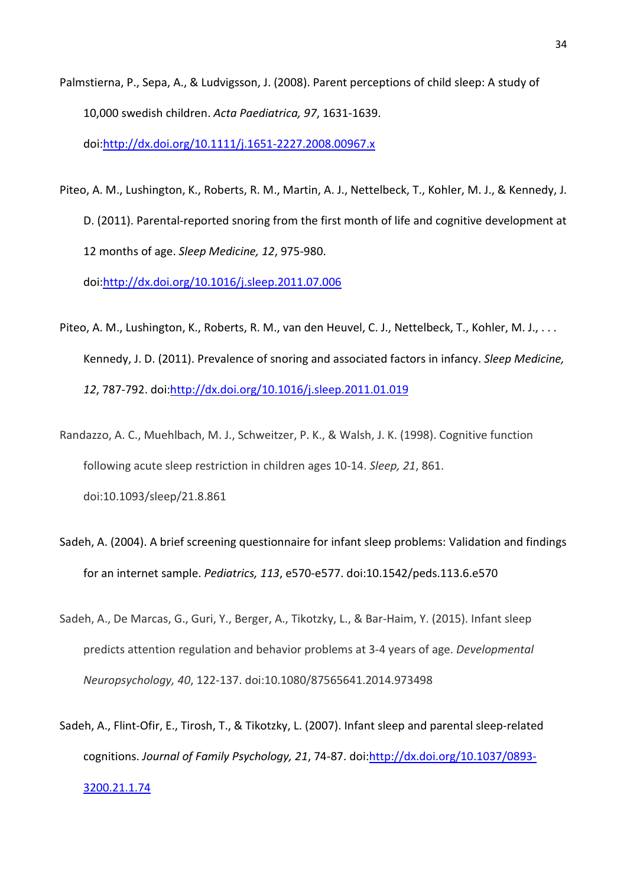- Palmstierna, P., Sepa, A., & Ludvigsson, J. (2008). Parent perceptions of child sleep: A study of 10,000 swedish children. *Acta Paediatrica, 97*, 1631-1639. doi[:http://dx.doi.org/10.1111/j.1651-2227.2008.00967.x](http://dx.doi.org/10.1111/j.1651-2227.2008.00967.x)
- Piteo, A. M., Lushington, K., Roberts, R. M., Martin, A. J., Nettelbeck, T., Kohler, M. J., & Kennedy, J. D. (2011). Parental-reported snoring from the first month of life and cognitive development at 12 months of age. *Sleep Medicine, 12*, 975-980.

doi[:http://dx.doi.org/10.1016/j.sleep.2011.07.006](http://dx.doi.org/10.1016/j.sleep.2011.07.006)

- Piteo, A. M., Lushington, K., Roberts, R. M., van den Heuvel, C. J., Nettelbeck, T., Kohler, M. J., . . . Kennedy, J. D. (2011). Prevalence of snoring and associated factors in infancy. *Sleep Medicine, 12*, 787-792. doi[:http://dx.doi.org/10.1016/j.sleep.2011.01.019](http://dx.doi.org/10.1016/j.sleep.2011.01.019)
- Randazzo, A. C., Muehlbach, M. J., Schweitzer, P. K., & Walsh, J. K. (1998). Cognitive function following acute sleep restriction in children ages 10-14. *Sleep, 21*, 861. doi:10.1093/sleep/21.8.861
- Sadeh, A. (2004). A brief screening questionnaire for infant sleep problems: Validation and findings for an internet sample. *Pediatrics, 113*, e570-e577. doi:10.1542/peds.113.6.e570
- Sadeh, A., De Marcas, G., Guri, Y., Berger, A., Tikotzky, L., & Bar-Haim, Y. (2015). Infant sleep predicts attention regulation and behavior problems at 3-4 years of age. *Developmental Neuropsychology, 40*, 122-137. doi:10.1080/87565641.2014.973498
- Sadeh, A., Flint-Ofir, E., Tirosh, T., & Tikotzky, L. (2007). Infant sleep and parental sleep-related cognitions. *Journal of Family Psychology, 21*, 74-87. doi[:http://dx.doi.org/10.1037/0893-](http://dx.doi.org/10.1037/0893-3200.21.1.74) [3200.21.1.74](http://dx.doi.org/10.1037/0893-3200.21.1.74)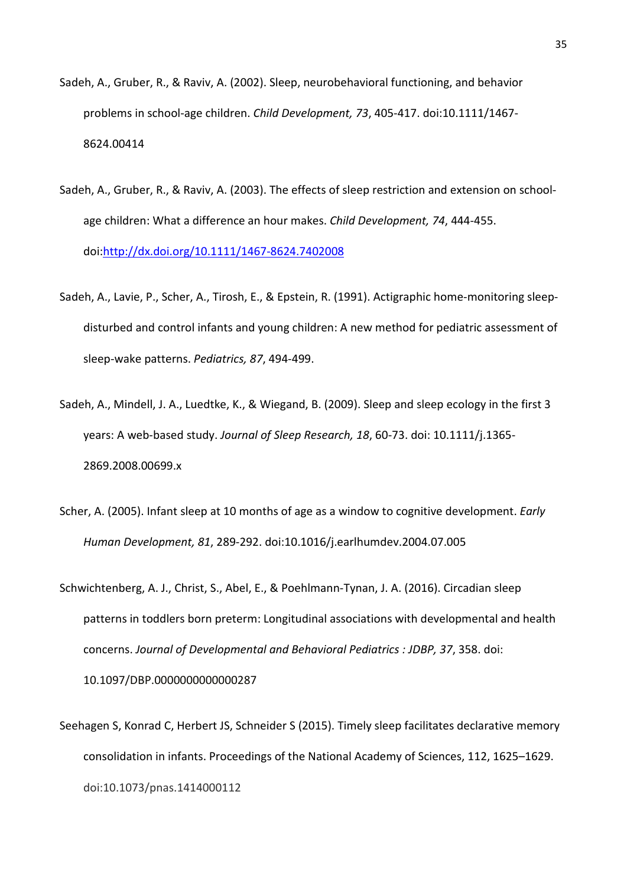- Sadeh, A., Gruber, R., & Raviv, A. (2002). Sleep, neurobehavioral functioning, and behavior problems in school-age children. *Child Development, 73*, 405-417. doi:10.1111/1467- 8624.00414
- Sadeh, A., Gruber, R., & Raviv, A. (2003). The effects of sleep restriction and extension on schoolage children: What a difference an hour makes. *Child Development, 74*, 444-455. doi[:http://dx.doi.org/10.1111/1467-8624.7402008](http://dx.doi.org/10.1111/1467-8624.7402008)
- Sadeh, A., Lavie, P., Scher, A., Tirosh, E., & Epstein, R. (1991). Actigraphic home-monitoring sleepdisturbed and control infants and young children: A new method for pediatric assessment of sleep-wake patterns. *Pediatrics, 87*, 494-499.
- Sadeh, A., Mindell, J. A., Luedtke, K., & Wiegand, B. (2009). Sleep and sleep ecology in the first 3 years: A web-based study. *Journal of Sleep Research, 18*, 60-73. doi: 10.1111/j.1365- 2869.2008.00699.x
- Scher, A. (2005). Infant sleep at 10 months of age as a window to cognitive development. *Early Human Development, 81*, 289-292. doi:10.1016/j.earlhumdev.2004.07.005
- Schwichtenberg, A. J., Christ, S., Abel, E., & Poehlmann-Tynan, J. A. (2016). Circadian sleep patterns in toddlers born preterm: Longitudinal associations with developmental and health concerns. *Journal of Developmental and Behavioral Pediatrics : JDBP, 37*, 358. doi: 10.1097/DBP.0000000000000287
- Seehagen S, Konrad C, Herbert JS, Schneider S (2015). Timely sleep facilitates declarative memory consolidation in infants. Proceedings of the National Academy of Sciences, 112, 1625–1629. doi:10.1073/pnas.1414000112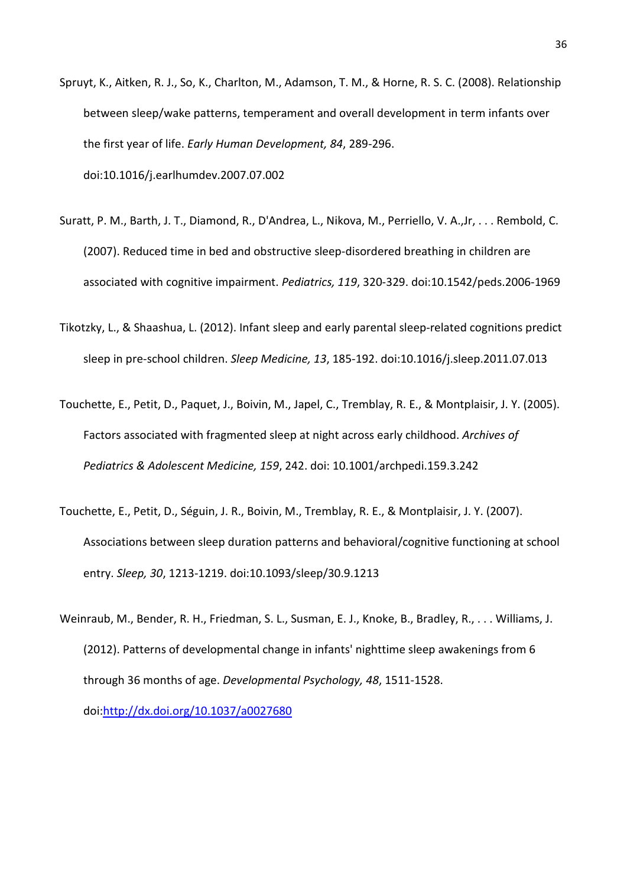- Spruyt, K., Aitken, R. J., So, K., Charlton, M., Adamson, T. M., & Horne, R. S. C. (2008). Relationship between sleep/wake patterns, temperament and overall development in term infants over the first year of life. *Early Human Development, 84*, 289-296. doi:10.1016/j.earlhumdev.2007.07.002
- Suratt, P. M., Barth, J. T., Diamond, R., D'Andrea, L., Nikova, M., Perriello, V. A.,Jr, . . . Rembold, C. (2007). Reduced time in bed and obstructive sleep-disordered breathing in children are associated with cognitive impairment. *Pediatrics, 119*, 320-329. doi:10.1542/peds.2006-1969
- Tikotzky, L., & Shaashua, L. (2012). Infant sleep and early parental sleep-related cognitions predict sleep in pre-school children. *Sleep Medicine, 13*, 185-192. doi:10.1016/j.sleep.2011.07.013
- Touchette, E., Petit, D., Paquet, J., Boivin, M., Japel, C., Tremblay, R. E., & Montplaisir, J. Y. (2005). Factors associated with fragmented sleep at night across early childhood. *Archives of Pediatrics & Adolescent Medicine, 159*, 242. doi: 10.1001/archpedi.159.3.242
- Touchette, E., Petit, D., Séguin, J. R., Boivin, M., Tremblay, R. E., & Montplaisir, J. Y. (2007). Associations between sleep duration patterns and behavioral/cognitive functioning at school entry. *Sleep, 30*, 1213-1219. doi:10.1093/sleep/30.9.1213
- Weinraub, M., Bender, R. H., Friedman, S. L., Susman, E. J., Knoke, B., Bradley, R., . . . Williams, J. (2012). Patterns of developmental change in infants' nighttime sleep awakenings from 6 through 36 months of age. *Developmental Psychology, 48*, 1511-1528. doi[:http://dx.doi.org/10.1037/a0027680](http://dx.doi.org/10.1037/a0027680)